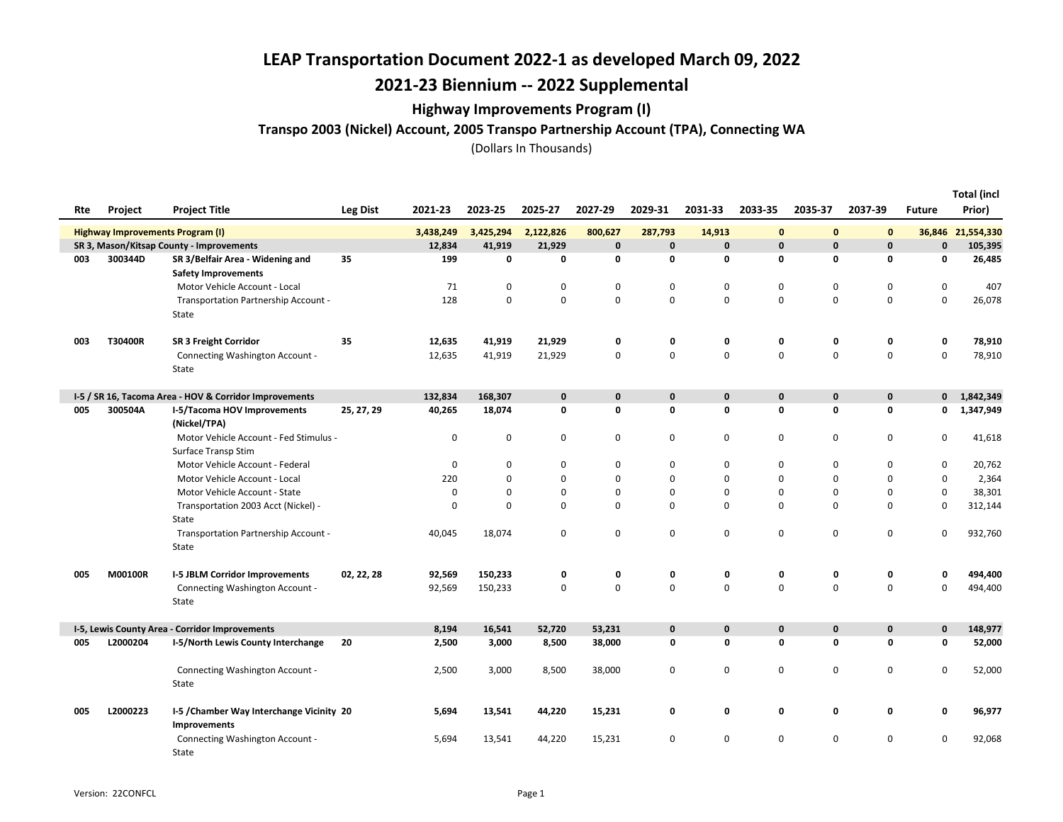## 2021-23 Biennium -- 2022 Supplemental

### Highway Improvements Program (I)

Transpo 2003 (Nickel) Account, 2005 Transpo Partnership Account (TPA), Connecting WA

|     |                                         |                                                                |                 |           |             |             |             |             |              |              |              |             |               | <b>Total (incl</b> |
|-----|-----------------------------------------|----------------------------------------------------------------|-----------------|-----------|-------------|-------------|-------------|-------------|--------------|--------------|--------------|-------------|---------------|--------------------|
| Rte | <b>Project</b>                          | <b>Project Title</b>                                           | <b>Leg Dist</b> | 2021-23   | 2023-25     | 2025-27     | 2027-29     | 2029-31     | 2031-33      | 2033-35      | 2035-37      | 2037-39     | <b>Future</b> | Prior)             |
|     | <b>Highway Improvements Program (I)</b> |                                                                |                 | 3,438,249 | 3,425,294   | 2,122,826   | 800,627     | 287,793     | 14,913       | $\mathbf 0$  | $\bf{0}$     | $\bf{0}$    |               | 36,846 21,554,330  |
|     |                                         | SR 3, Mason/Kitsap County - Improvements                       |                 | 12,834    | 41,919      | 21,929      | $\mathbf 0$ | $\mathbf 0$ | $\mathbf 0$  | $\pmb{0}$    | $\mathbf{0}$ | $\mathbf 0$ | $\mathbf{0}$  | 105,395            |
| 003 | 300344D                                 | SR 3/Belfair Area - Widening and<br><b>Safety Improvements</b> | 35              | 199       | 0           | 0           | 0           | 0           | $\mathbf 0$  | 0            | 0            | 0           | 0             | 26,485             |
|     |                                         | Motor Vehicle Account - Local                                  |                 | 71        | 0           | 0           | 0           | 0           | $\mathbf 0$  | 0            | 0            | $\mathbf 0$ | 0             | 407                |
|     |                                         | Transportation Partnership Account -                           |                 | 128       | $\mathbf 0$ | 0           | $\mathbf 0$ | $\mathbf 0$ | $\mathbf 0$  | $\Omega$     | $\Omega$     | $\mathbf 0$ | $\mathbf 0$   | 26,078             |
|     |                                         | State                                                          |                 |           |             |             |             |             |              |              |              |             |               |                    |
| 003 | T30400R                                 | <b>SR 3 Freight Corridor</b>                                   | 35              | 12,635    | 41,919      | 21,929      | 0           | 0           | 0            | 0            | 0            | 0           | 0             | 78,910             |
|     |                                         | Connecting Washington Account -                                |                 | 12,635    | 41,919      | 21,929      | 0           | 0           | 0            | 0            | 0            | $\mathbf 0$ | 0             | 78,910             |
|     |                                         | State                                                          |                 |           |             |             |             |             |              |              |              |             |               |                    |
|     |                                         | I-5 / SR 16, Tacoma Area - HOV & Corridor Improvements         |                 | 132,834   | 168,307     | $\mathbf 0$ | $\pmb{0}$   | $\mathbf 0$ | $\mathbf 0$  | $\mathbf 0$  | $\mathbf 0$  | $\pmb{0}$   | $\mathbf{0}$  | 1,842,349          |
| 005 | 300504A                                 | I-5/Tacoma HOV Improvements                                    | 25, 27, 29      | 40,265    | 18,074      | 0           | 0           | 0           | $\mathbf{0}$ | 0            | 0            | $\mathbf 0$ | 0             | 1,347,949          |
|     |                                         | (Nickel/TPA)                                                   |                 |           |             |             |             |             |              |              |              |             |               |                    |
|     |                                         | Motor Vehicle Account - Fed Stimulus -                         |                 | $\pmb{0}$ | 0           | 0           | 0           | 0           | $\mathsf 0$  | 0            | $\pmb{0}$    | $\pmb{0}$   | 0             | 41,618             |
|     |                                         | Surface Transp Stim                                            |                 |           |             |             |             |             |              |              |              |             |               |                    |
|     |                                         | Motor Vehicle Account - Federal                                |                 | 0         | 0           | 0           | 0           | 0           | 0            | 0            | 0            | 0           | 0             | 20,762             |
|     |                                         | Motor Vehicle Account - Local                                  |                 | 220       | 0           | 0           | 0           | 0           | $\mathbf 0$  | 0            | 0            | $\mathbf 0$ | $\mathbf 0$   | 2,364              |
|     |                                         | Motor Vehicle Account - State                                  |                 | 0         | 0           | 0           | 0           | 0           | $\mathbf 0$  | 0            | 0            | $\pmb{0}$   | 0             | 38,301             |
|     |                                         | Transportation 2003 Acct (Nickel) -                            |                 | $\pmb{0}$ | 0           | 0           | 0           | 0           | $\mathbf 0$  | 0            | 0            | $\pmb{0}$   | 0             | 312,144            |
|     |                                         | <b>State</b>                                                   |                 |           |             |             |             |             |              |              |              |             |               |                    |
|     |                                         | Transportation Partnership Account -<br>State                  |                 | 40,045    | 18,074      | 0           | 0           | $\mathsf 0$ | $\mathbf 0$  | 0            | 0            | $\mathbf 0$ | 0             | 932,760            |
| 005 | M00100R                                 | <b>I-5 JBLM Corridor Improvements</b>                          | 02, 22, 28      | 92,569    | 150,233     | 0           | 0           | 0           | 0            | 0            | 0            | 0           | 0             | 494,400            |
|     |                                         | Connecting Washington Account -                                |                 | 92,569    | 150,233     | 0           | 0           | $\mathbf 0$ | $\mathbf 0$  | $\Omega$     | $\Omega$     | $\mathbf 0$ | $\mathbf 0$   | 494,400            |
|     |                                         | State                                                          |                 |           |             |             |             |             |              |              |              |             |               |                    |
|     |                                         |                                                                |                 |           |             |             |             |             |              |              |              |             |               |                    |
|     |                                         | I-5, Lewis County Area - Corridor Improvements                 |                 | 8,194     | 16,541      | 52,720      | 53,231      | $\mathbf 0$ | $\mathbf{0}$ | $\mathbf{0}$ | $\mathbf{0}$ | $\mathbf 0$ | $\mathbf{0}$  | 148,977            |
| 005 | L2000204                                | I-5/North Lewis County Interchange                             | 20              | 2,500     | 3,000       | 8,500       | 38,000      | 0           | 0            | 0            | 0            | 0           | 0             | 52,000             |
|     |                                         | Connecting Washington Account -                                |                 | 2,500     | 3,000       | 8,500       | 38,000      | 0           | $\mathbf 0$  | 0            | 0            | $\mathbf 0$ | 0             | 52,000             |
|     |                                         | State                                                          |                 |           |             |             |             |             |              |              |              |             |               |                    |
| 005 | L2000223                                | I-5 / Chamber Way Interchange Vicinity 20                      |                 | 5,694     | 13,541      | 44,220      | 15,231      | 0           | 0            | 0            | 0            | 0           | 0             | 96,977             |
|     |                                         | <b>Improvements</b>                                            |                 |           |             |             |             |             |              |              |              |             |               |                    |
|     |                                         | Connecting Washington Account -<br>State                       |                 | 5,694     | 13,541      | 44,220      | 15,231      | 0           | 0            | 0            | 0            | 0           | 0             | 92,068             |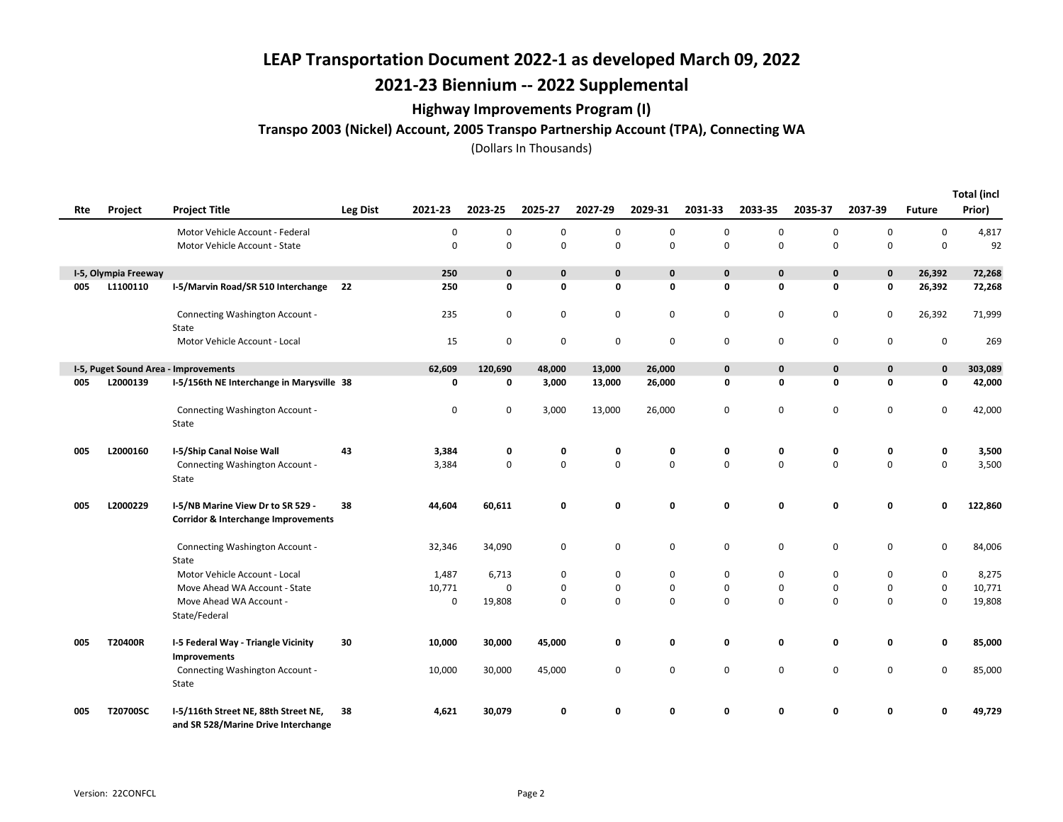# 2021-23 Biennium -- 2022 Supplemental

### Highway Improvements Program (I)

Transpo 2003 (Nickel) Account, 2005 Transpo Partnership Account (TPA), Connecting WA

|     |                      |                                                                                     |                            |        |              |             |             |             |              |             |             |             |               | <b>Total (incl</b> |
|-----|----------------------|-------------------------------------------------------------------------------------|----------------------------|--------|--------------|-------------|-------------|-------------|--------------|-------------|-------------|-------------|---------------|--------------------|
| Rte | Project              | <b>Project Title</b>                                                                | <b>Leg Dist</b><br>2021-23 |        | 2023-25      | 2025-27     | 2027-29     | 2029-31     | 2031-33      | 2033-35     | 2035-37     | 2037-39     | <b>Future</b> | Prior)             |
|     |                      | Motor Vehicle Account - Federal                                                     |                            | 0      | 0            | 0           | $\mathbf 0$ | 0           | 0            | 0           | 0           | 0           | 0             | 4,817              |
|     |                      | Motor Vehicle Account - State                                                       |                            | 0      | $\mathbf 0$  | $\mathbf 0$ | $\mathsf 0$ | 0           | $\mathbf 0$  | $\mathbf 0$ | $\mathbf 0$ | $\mathsf 0$ | $\mathbf 0$   | 92                 |
|     | I-5, Olympia Freeway |                                                                                     |                            | 250    | $\mathbf{0}$ | $\mathbf 0$ | $\mathbf 0$ | $\mathbf 0$ | $\mathbf{0}$ | $\mathbf 0$ | $\mathbf 0$ | $\mathbf 0$ | 26,392        | 72,268             |
| 005 | L1100110             | I-5/Marvin Road/SR 510 Interchange 22                                               |                            | 250    | 0            | 0           | 0           | 0           | 0            | 0           | 0           | $\mathbf 0$ | 26,392        | 72,268             |
|     |                      | Connecting Washington Account -<br>State                                            |                            | 235    | 0            | 0           | 0           | 0           | 0            | 0           | 0           | 0           | 26,392        | 71,999             |
|     |                      | Motor Vehicle Account - Local                                                       |                            | 15     | 0            | 0           | $\mathsf 0$ | 0           | $\mathbf 0$  | $\mathbf 0$ | $\mathsf 0$ | $\mathbf 0$ | 0             | 269                |
|     |                      | I-5, Puget Sound Area - Improvements                                                |                            | 62,609 | 120,690      | 48,000      | 13,000      | 26,000      | $\mathbf 0$  | $\mathbf 0$ | $\mathbf 0$ | 0           | $\mathbf 0$   | 303,089            |
| 005 | L2000139             | I-5/156th NE Interchange in Marysville 38                                           |                            | 0      | 0            | 3,000       | 13,000      | 26,000      | 0            | 0           | $\mathbf 0$ | 0           | 0             | 42,000             |
|     |                      | Connecting Washington Account -<br>State                                            |                            | 0      | 0            | 3,000       | 13,000      | 26,000      | 0            | $\mathbf 0$ | 0           | 0           | 0             | 42,000             |
| 005 | L2000160             | I-5/Ship Canal Noise Wall                                                           | 43                         | 3,384  | 0            | 0           | 0           | 0           | 0            | 0           | 0           | 0           | 0             | 3,500              |
|     |                      | Connecting Washington Account -<br>State                                            |                            | 3,384  | 0            | $\mathbf 0$ | $\mathsf 0$ | $\mathsf 0$ | 0            | $\mathbf 0$ | $\mathsf 0$ | $\mathbf 0$ | 0             | 3,500              |
| 005 | L2000229             | I-5/NB Marine View Dr to SR 529 -<br><b>Corridor &amp; Interchange Improvements</b> | 38                         | 44,604 | 60,611       | 0           | 0           | 0           | 0            | 0           | 0           | 0           | 0             | 122,860            |
|     |                      | Connecting Washington Account -<br>State                                            |                            | 32,346 | 34,090       | 0           | $\mathbf 0$ | 0           | 0            | 0           | $\mathsf 0$ | 0           | 0             | 84,006             |
|     |                      | Motor Vehicle Account - Local                                                       |                            | 1,487  | 6,713        | 0           | 0           | 0           | $\mathbf 0$  | 0           | $\mathbf 0$ | 0           | 0             | 8,275              |
|     |                      | Move Ahead WA Account - State                                                       |                            | 10,771 | $\mathbf 0$  | 0           | $\mathbf 0$ | 0           | 0            | 0           | 0           | 0           | 0             | 10,771             |
|     |                      | Move Ahead WA Account -<br>State/Federal                                            |                            | 0      | 19,808       | $\Omega$    | $\mathsf 0$ | 0           | $\Omega$     | $\Omega$    | $\mathbf 0$ | $\mathbf 0$ | 0             | 19,808             |
| 005 | T20400R              | I-5 Federal Way - Triangle Vicinity<br>Improvements                                 | 30                         | 10,000 | 30,000       | 45,000      | 0           | 0           | 0            | 0           | 0           | 0           | 0             | 85,000             |
|     |                      | Connecting Washington Account -<br>State                                            |                            | 10,000 | 30,000       | 45,000      | $\mathbf 0$ | 0           | $\mathbf 0$  | $\mathbf 0$ | $\mathsf 0$ | 0           | 0             | 85,000             |
| 005 | T20700SC             | I-5/116th Street NE, 88th Street NE,<br>and SR 528/Marine Drive Interchange         | 38                         | 4,621  | 30,079       | 0           | ŋ           | O           | U            | n           | 0           | O           |               | 49,729             |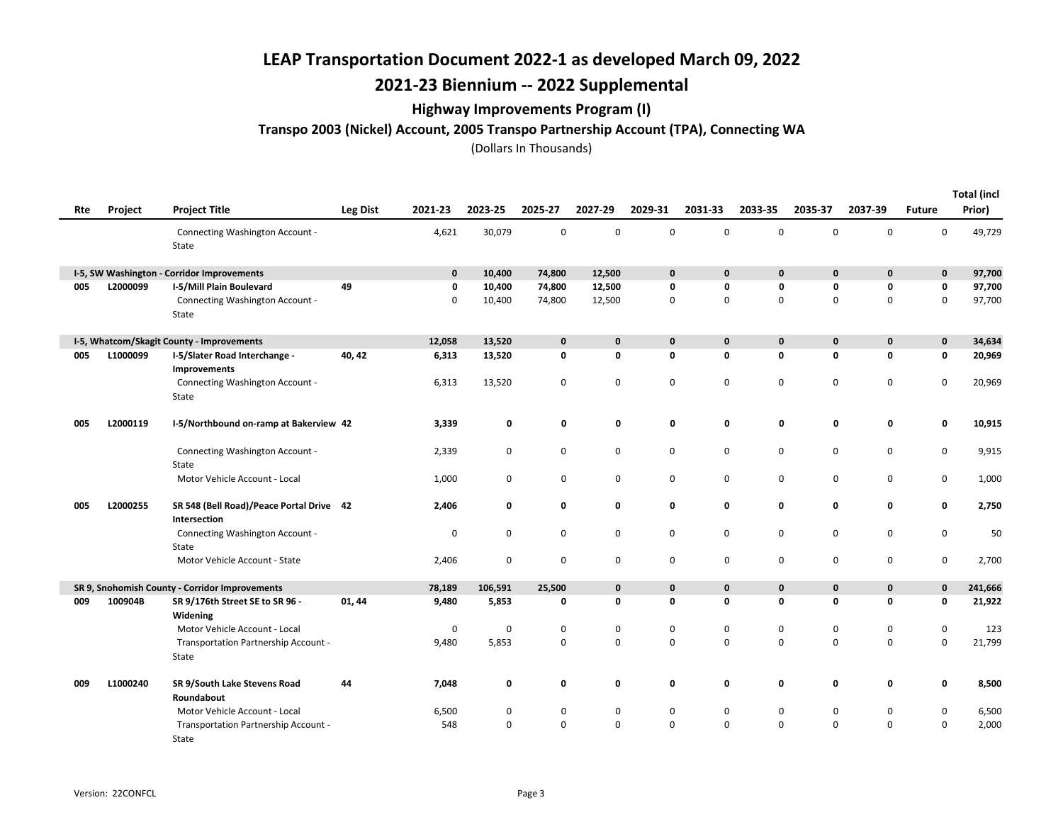## 2021-23 Biennium -- 2022 Supplemental

### Highway Improvements Program (I)

### Transpo 2003 (Nickel) Account, 2005 Transpo Partnership Account (TPA), Connecting WA

| Rte | Project  | <b>Project Title</b>                                     | <b>Leg Dist</b> | 2021-23     | 2023-25     | 2025-27      | 2027-29     | 2029-31      | 2031-33      | 2033-35      | 2035-37      | 2037-39      | <b>Future</b> | <b>Total (incl</b><br>Prior) |
|-----|----------|----------------------------------------------------------|-----------------|-------------|-------------|--------------|-------------|--------------|--------------|--------------|--------------|--------------|---------------|------------------------------|
|     |          | Connecting Washington Account -<br>State                 |                 | 4,621       | 30,079      | $\mathbf 0$  | $\mathsf 0$ | $\mathsf 0$  | $\mathbf 0$  | $\mathbf 0$  | $\mathbf 0$  | $\mathbf 0$  | 0             | 49,729                       |
|     |          | I-5, SW Washington - Corridor Improvements               |                 | $\mathbf 0$ | 10,400      | 74,800       | 12,500      | $\mathbf 0$  | $\mathbf{0}$ | $\mathbf{0}$ | $\mathbf 0$  | $\mathbf 0$  | $\mathbf 0$   | 97,700                       |
| 005 | L2000099 | I-5/Mill Plain Boulevard                                 | 49              | 0           | 10,400      | 74,800       | 12,500      | 0            | 0            | 0            | 0            | 0            | 0             | 97,700                       |
|     |          | Connecting Washington Account -<br>State                 |                 | 0           | 10,400      | 74,800       | 12,500      | 0            | $\mathbf 0$  | $\Omega$     | $\mathbf 0$  | $\mathbf 0$  | 0             | 97,700                       |
|     |          | I-5, Whatcom/Skagit County - Improvements                |                 | 12,058      | 13,520      | $\mathbf{0}$ | $\mathbf 0$ | $\mathbf{0}$ | $\mathbf{0}$ | $\mathbf{0}$ | $\mathbf{0}$ | $\mathbf{0}$ | 0             | 34,634                       |
| 005 | L1000099 | I-5/Slater Road Interchange -<br>Improvements            | 40, 42          | 6,313       | 13,520      | 0            | 0           | 0            | 0            | 0            | 0            | 0            | 0             | 20,969                       |
|     |          | Connecting Washington Account -<br>State                 |                 | 6,313       | 13,520      | 0            | 0           | 0            | 0            | 0            | 0            | 0            | 0             | 20,969                       |
| 005 | L2000119 | I-5/Northbound on-ramp at Bakerview 42                   |                 | 3,339       | 0           | 0            | 0           | 0            | 0            | 0            | 0            | 0            | 0             | 10,915                       |
|     |          | Connecting Washington Account -<br>State                 |                 | 2,339       | 0           | $\mathbf 0$  | $\mathsf 0$ | $\mathbf 0$  | $\mathbf 0$  | $\mathbf 0$  | $\pmb{0}$    | $\mathbf 0$  | 0             | 9,915                        |
|     |          | Motor Vehicle Account - Local                            |                 | 1,000       | 0           | 0            | 0           | 0            | 0            | 0            | $\pmb{0}$    | 0            | 0             | 1,000                        |
| 005 | L2000255 | SR 548 (Bell Road)/Peace Portal Drive 42<br>Intersection |                 | 2,406       | 0           | 0            | 0           | 0            | 0            | 0            | 0            | 0            | 0             | 2,750                        |
|     |          | Connecting Washington Account -<br>State                 |                 | $\mathbf 0$ | 0           | 0            | 0           | 0            | 0            | 0            | $\pmb{0}$    | 0            | 0             | 50                           |
|     |          | Motor Vehicle Account - State                            |                 | 2,406       | 0           | 0            | $\mathbf 0$ | 0            | 0            | 0            | 0            | 0            | 0             | 2,700                        |
|     |          | SR 9, Snohomish County - Corridor Improvements           |                 | 78,189      | 106,591     | 25,500       | $\pmb{0}$   | $\mathbf 0$  | $\mathbf{0}$ | $\mathbf{0}$ | $\mathbf 0$  | $\mathbf 0$  | 0             | 241,666                      |
| 009 | 100904B  | SR 9/176th Street SE to SR 96 -<br>Widening              | 01, 44          | 9,480       | 5,853       | 0            | 0           | 0            | 0            | 0            | 0            | 0            | 0             | 21,922                       |
|     |          | Motor Vehicle Account - Local                            |                 | 0           | $\mathbf 0$ | 0            | $\pmb{0}$   | 0            | 0            | 0            | 0            | $\mathbf 0$  | 0             | 123                          |
|     |          | Transportation Partnership Account -<br>State            |                 | 9,480       | 5,853       | 0            | $\mathsf 0$ | $\mathsf 0$  | $\mathbf 0$  | 0            | $\pmb{0}$    | 0            | 0             | 21,799                       |
| 009 | L1000240 | SR 9/South Lake Stevens Road<br>Roundabout               | 44              | 7,048       | 0           | 0            | 0           | 0            | 0            | 0            | 0            | 0            | 0             | 8,500                        |
|     |          | Motor Vehicle Account - Local                            |                 | 6,500       | 0           | 0            | $\mathbf 0$ | 0            | 0            | 0            | $\mathbf 0$  | 0            | 0             | 6,500                        |
|     |          | Transportation Partnership Account -<br>State            |                 | 548         | $\mathbf 0$ | $\Omega$     | $\mathbf 0$ | 0            | $\Omega$     | $\Omega$     | $\mathbf 0$  | $\mathbf 0$  | 0             | 2,000                        |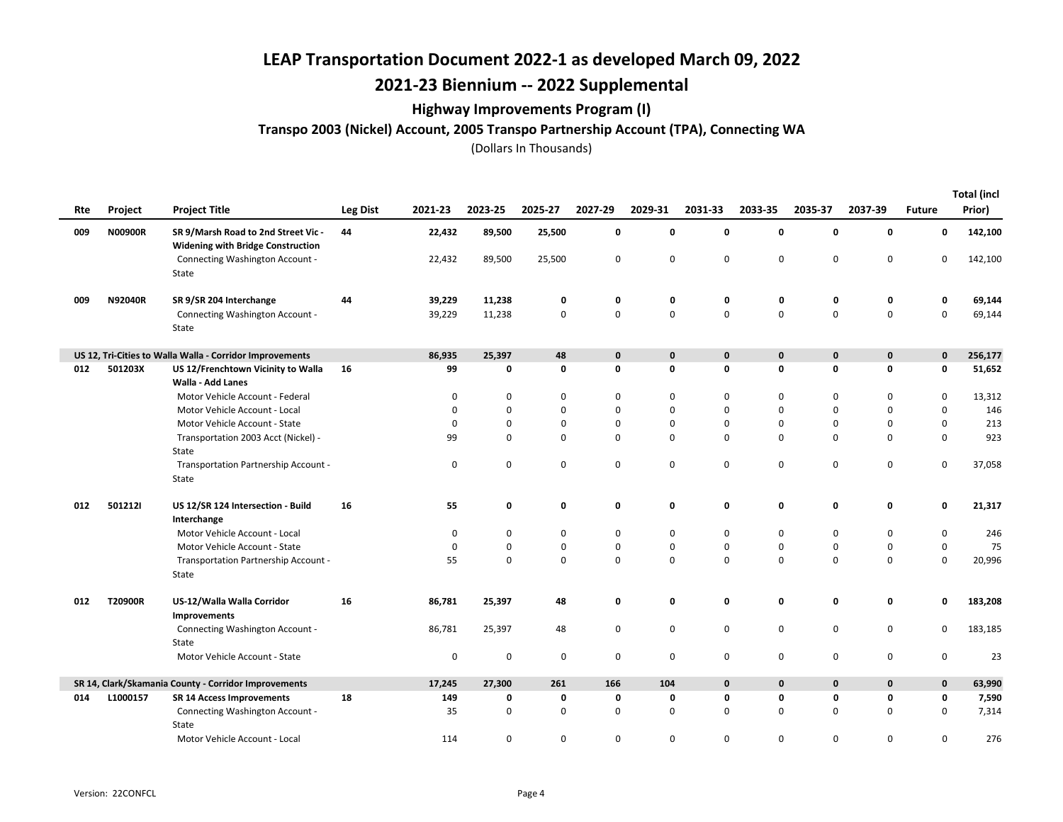# 2021-23 Biennium -- 2022 Supplemental

### Highway Improvements Program (I)

Transpo 2003 (Nickel) Account, 2005 Transpo Partnership Account (TPA), Connecting WA

| Rte | Project  | <b>Project Title</b>                                                            | Leg Dist | 2021-23  | 2023-25     | 2025-27 | 2027-29     | 2029-31     | 2031-33      | 2033-35      | 2035-37     | 2037-39     | <b>Future</b> | <b>Total (incl</b><br>Prior) |
|-----|----------|---------------------------------------------------------------------------------|----------|----------|-------------|---------|-------------|-------------|--------------|--------------|-------------|-------------|---------------|------------------------------|
| 009 | N00900R  | SR 9/Marsh Road to 2nd Street Vic -<br><b>Widening with Bridge Construction</b> | 44       | 22,432   | 89,500      | 25,500  | 0           | 0           | 0            | 0            | $\mathbf 0$ | $\mathbf 0$ | 0             | 142,100                      |
|     |          | Connecting Washington Account -<br>State                                        |          | 22,432   | 89,500      | 25,500  | $\mathbf 0$ | 0           | 0            | 0            | $\mathbf 0$ | $\mathbf 0$ | 0             | 142,100                      |
| 009 | N92040R  | SR 9/SR 204 Interchange                                                         | 44       | 39,229   | 11,238      | 0       | 0           | 0           | 0            | 0            | 0           | 0           | 0             | 69,144                       |
|     |          | Connecting Washington Account -<br>State                                        |          | 39,229   | 11,238      | 0       | $\mathbf 0$ | $\mathbf 0$ | 0            | 0            | $\mathbf 0$ | $\mathbf 0$ | $\mathbf 0$   | 69,144                       |
|     |          | US 12, Tri-Cities to Walla Walla - Corridor Improvements                        |          | 86,935   | 25,397      | 48      | $\bf{0}$    | $\mathbf 0$ | $\mathbf{0}$ | $\mathbf{0}$ | $\mathbf 0$ | $\mathbf 0$ | 0             | 256,177                      |
| 012 | 501203X  | US 12/Frenchtown Vicinity to Walla<br><b>Walla - Add Lanes</b>                  | 16       | 99       | 0           | 0       | 0           | $\mathbf 0$ | 0            | 0            | $\mathbf 0$ | $\mathbf 0$ | 0             | 51,652                       |
|     |          | Motor Vehicle Account - Federal                                                 |          | 0        | 0           | 0       | 0           | 0           | 0            | 0            | 0           | 0           | 0             | 13,312                       |
|     |          | Motor Vehicle Account - Local                                                   |          | $\Omega$ | $\mathbf 0$ | 0       | $\mathbf 0$ | 0           | 0            | $\mathbf 0$  | $\Omega$    | $\mathbf 0$ | $\mathbf 0$   | 146                          |
|     |          | Motor Vehicle Account - State                                                   |          | 0        | 0           | 0       | $\mathbf 0$ | 0           | 0            | 0            | 0           | 0           | 0             | 213                          |
|     |          | Transportation 2003 Acct (Nickel) -<br>State                                    |          | 99       | $\mathbf 0$ | 0       | $\mathbf 0$ | 0           | 0            | $\mathbf 0$  | $\mathbf 0$ | $\mathbf 0$ | $\mathbf 0$   | 923                          |
|     |          | Transportation Partnership Account -<br>State                                   |          | 0        | 0           | 0       | 0           | 0           | 0            | 0            | $\mathbf 0$ | $\mathbf 0$ | 0             | 37,058                       |
| 012 | 5012121  | US 12/SR 124 Intersection - Build<br>Interchange                                | 16       | 55       | 0           | 0       | 0           | 0           | 0            | 0            | 0           | 0           | 0             | 21,317                       |
|     |          | Motor Vehicle Account - Local                                                   |          | 0        | $\mathbf 0$ | 0       | $\mathbf 0$ | 0           | 0            | 0            | 0           | 0           | 0             | 246                          |
|     |          | Motor Vehicle Account - State                                                   |          | 0        | 0           | 0       | $\mathbf 0$ | 0           | 0            | 0            | 0           | $\mathbf 0$ | $\mathbf 0$   | 75                           |
|     |          | Transportation Partnership Account -<br>State                                   |          | 55       | $\mathbf 0$ | 0       | $\mathbf 0$ | $\mathbf 0$ | 0            | $\mathbf 0$  | $\mathbf 0$ | $\mathbf 0$ | 0             | 20,996                       |
| 012 | T20900R  | US-12/Walla Walla Corridor<br>Improvements                                      | 16       | 86,781   | 25,397      | 48      | 0           | 0           | 0            | 0            | 0           | 0           | 0             | 183,208                      |
|     |          | Connecting Washington Account -<br>State                                        |          | 86,781   | 25,397      | 48      | 0           | 0           | 0            | 0            | $\mathbf 0$ | $\mathbf 0$ | 0             | 183,185                      |
|     |          | Motor Vehicle Account - State                                                   |          | 0        | $\pmb{0}$   | 0       | $\mathsf 0$ | $\mathsf 0$ | 0            | 0            | $\pmb{0}$   | $\mathbf 0$ | $\mathbf 0$   | 23                           |
|     |          | SR 14, Clark/Skamania County - Corridor Improvements                            |          | 17,245   | 27,300      | 261     | 166         | 104         | $\mathbf{0}$ | $\mathbf{0}$ | $\mathbf 0$ | $\mathbf 0$ | $\mathbf 0$   | 63,990                       |
| 014 | L1000157 | <b>SR 14 Access Improvements</b>                                                | 18       | 149      | 0           | 0       | 0           | 0           | 0            | 0            | $\mathbf 0$ | 0           | 0             | 7,590                        |
|     |          | Connecting Washington Account -<br>State                                        |          | 35       | 0           | 0       | $\mathbf 0$ | 0           | 0            | $\mathbf 0$  | 0           | $\mathbf 0$ | 0             | 7,314                        |
|     |          | Motor Vehicle Account - Local                                                   |          | 114      | $\mathbf 0$ | 0       | $\mathbf 0$ | $\mathbf 0$ | 0            | 0            | $\mathbf 0$ | $\mathbf 0$ | 0             | 276                          |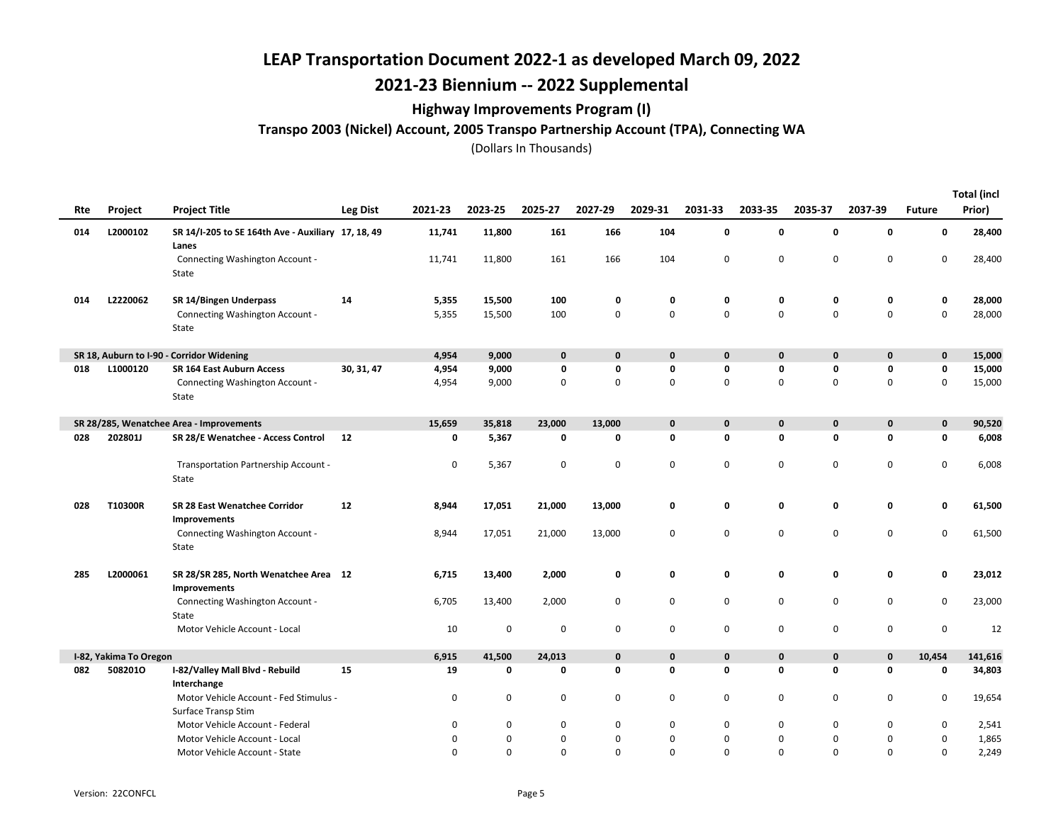## 2021-23 Biennium -- 2022 Supplemental

### Highway Improvements Program (I)

### Transpo 2003 (Nickel) Account, 2005 Transpo Partnership Account (TPA), Connecting WA

|     |                        |                                                               |                 |          |             |             |             |             |             |              |              |              |               | <b>Total (incl</b> |
|-----|------------------------|---------------------------------------------------------------|-----------------|----------|-------------|-------------|-------------|-------------|-------------|--------------|--------------|--------------|---------------|--------------------|
| Rte | Project                | <b>Project Title</b>                                          | <b>Leg Dist</b> | 2021-23  | 2023-25     | 2025-27     | 2027-29     | 2029-31     | 2031-33     | 2033-35      | 2035-37      | 2037-39      | <b>Future</b> | Prior)             |
| 014 | L2000102               | SR 14/I-205 to SE 164th Ave - Auxiliary 17, 18, 49<br>Lanes   |                 | 11,741   | 11,800      | 161         | 166         | 104         | 0           | 0            | 0            | $\mathbf 0$  | 0             | 28,400             |
|     |                        | Connecting Washington Account -<br>State                      |                 | 11,741   | 11,800      | 161         | 166         | 104         | 0           | $\mathbf 0$  | $\mathbf 0$  | $\mathbf 0$  | 0             | 28,400             |
| 014 | L2220062               | SR 14/Bingen Underpass                                        | 14              | 5,355    | 15,500      | 100         | 0           | 0           | 0           | 0            | 0            | 0            | 0             | 28,000             |
|     |                        | Connecting Washington Account -<br>State                      |                 | 5,355    | 15,500      | 100         | 0           | 0           | 0           | 0            | $\mathbf 0$  | $\mathbf 0$  | $\mathbf 0$   | 28,000             |
|     |                        | SR 18, Auburn to I-90 - Corridor Widening                     |                 | 4,954    | 9,000       | $\mathbf 0$ | $\bf{0}$    | $\mathbf 0$ | $\mathbf 0$ | $\mathbf{0}$ | $\mathbf 0$  | $\mathbf{0}$ | $\mathbf 0$   | 15,000             |
| 018 | L1000120               | <b>SR 164 East Auburn Access</b>                              | 30, 31, 47      | 4,954    | 9,000       | 0           | 0           | 0           | 0           | 0            | 0            | 0            | 0             | 15,000             |
|     |                        | Connecting Washington Account -<br>State                      |                 | 4,954    | 9,000       | 0           | 0           | $\mathbf 0$ | 0           | $\mathbf 0$  | $\mathbf 0$  | $\mathbf 0$  | 0             | 15,000             |
|     |                        | SR 28/285, Wenatchee Area - Improvements                      |                 | 15,659   | 35,818      | 23,000      | 13,000      | $\mathbf 0$ | $\mathbf 0$ | $\mathbf{0}$ | $\pmb{0}$    | $\mathbf 0$  | $\mathbf 0$   | 90,520             |
| 028 | 202801J                | SR 28/E Wenatchee - Access Control                            | 12              | 0        | 5,367       | 0           | 0           | 0           | 0           | 0            | 0            | 0            | 0             | 6,008              |
|     |                        | Transportation Partnership Account -<br>State                 |                 | 0        | 5,367       | 0           | 0           | 0           | 0           | 0            | 0            | $\mathbf 0$  | 0             | 6,008              |
| 028 | T10300R                | SR 28 East Wenatchee Corridor<br><b>Improvements</b>          | 12              | 8,944    | 17,051      | 21,000      | 13,000      | 0           | 0           | 0            | 0            | 0            | 0             | 61,500             |
|     |                        | Connecting Washington Account -<br>State                      |                 | 8,944    | 17,051      | 21,000      | 13,000      | 0           | 0           | 0            | $\mathbf 0$  | $\mathbf 0$  | 0             | 61,500             |
| 285 | L2000061               | SR 28/SR 285, North Wenatchee Area 12<br><b>Improvements</b>  |                 | 6,715    | 13,400      | 2,000       | 0           | 0           | 0           | 0            | 0            | 0            | 0             | 23,012             |
|     |                        | Connecting Washington Account -<br>State                      |                 | 6,705    | 13,400      | 2,000       | $\mathbf 0$ | 0           | 0           | 0            | 0            | $\mathbf 0$  | 0             | 23,000             |
|     |                        | Motor Vehicle Account - Local                                 |                 | 10       | 0           | 0           | 0           | 0           | 0           | 0            | 0            | $\pmb{0}$    | $\mathsf 0$   | 12                 |
|     | I-82, Yakima To Oregon |                                                               |                 | 6,915    | 41,500      | 24,013      | $\mathbf 0$ | $\mathbf 0$ | 0           | 0            | $\mathbf 0$  | $\mathbf 0$  | 10,454        | 141,616            |
| 082 | 5082010                | I-82/Valley Mall Blvd - Rebuild<br>Interchange                | 15              | 19       | $\mathbf 0$ | 0           | $\mathbf 0$ | $\mathbf 0$ | 0           | 0            | $\mathbf{0}$ | $\mathbf 0$  | $\mathbf 0$   | 34,803             |
|     |                        | Motor Vehicle Account - Fed Stimulus -<br>Surface Transp Stim |                 | 0        | 0           | $\mathbf 0$ | $\mathsf 0$ | 0           | 0           | 0            | 0            | $\mathbf 0$  | $\mathsf{O}$  | 19,654             |
|     |                        | Motor Vehicle Account - Federal                               |                 | 0        | 0           | 0           | 0           | 0           | 0           | 0            | 0            | 0            | 0             | 2,541              |
|     |                        | Motor Vehicle Account - Local                                 |                 | 0        | 0           | $\mathbf 0$ | $\mathbf 0$ | 0           | 0           | $\pmb{0}$    | 0            | $\pmb{0}$    | $\mathsf 0$   | 1,865              |
|     |                        | Motor Vehicle Account - State                                 |                 | $\Omega$ | $\Omega$    | $\mathbf 0$ | $\Omega$    | 0           | 0           | $\mathbf 0$  | $\Omega$     | $\mathbf 0$  | 0             | 2,249              |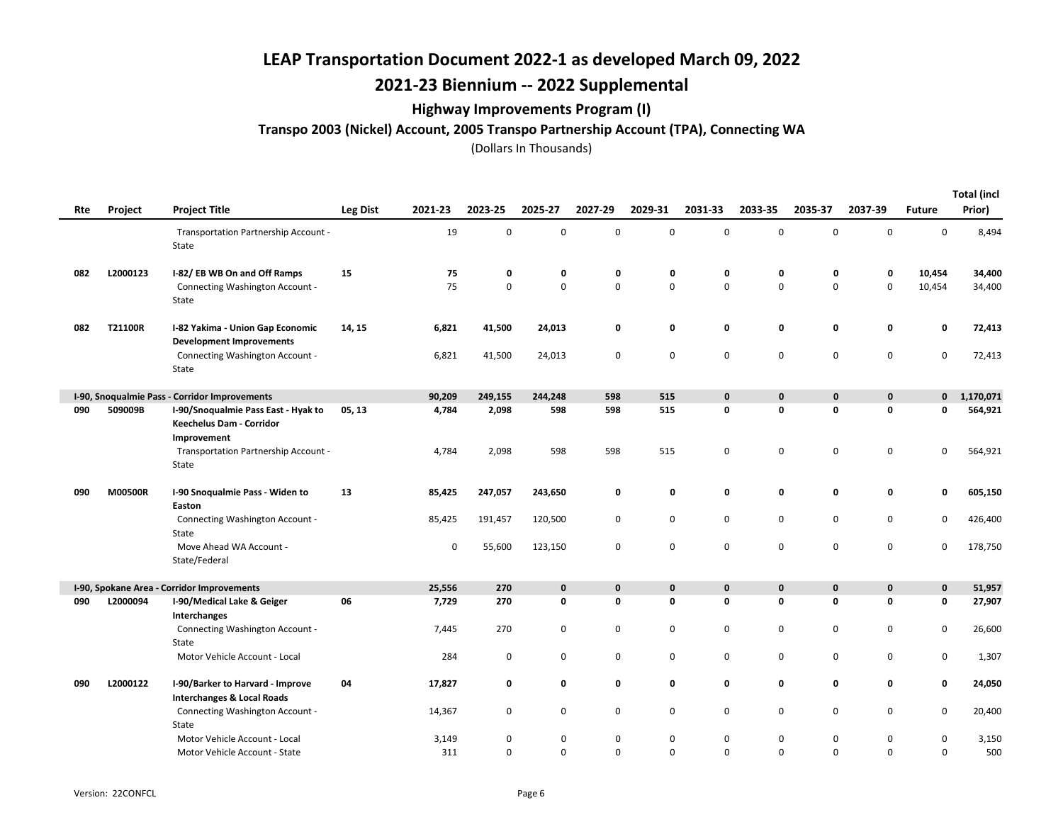# 2021-23 Biennium -- 2022 Supplemental

### Highway Improvements Program (I)

Transpo 2003 (Nickel) Account, 2005 Transpo Partnership Account (TPA), Connecting WA

| Rte | Project        | <b>Project Title</b>                                                           | <b>Leg Dist</b> | 2021-23 | 2023-25     | 2025-27     | 2027-29     | 2029-31     | 2031-33      | 2033-35      | 2035-37      | 2037-39      | <b>Future</b> | <b>Total (incl</b><br>Prior) |
|-----|----------------|--------------------------------------------------------------------------------|-----------------|---------|-------------|-------------|-------------|-------------|--------------|--------------|--------------|--------------|---------------|------------------------------|
|     |                | Transportation Partnership Account -<br>State                                  |                 | 19      | 0           | 0           | $\mathbf 0$ | $\mathbf 0$ | 0            | $\mathsf 0$  | $\mathbf 0$  | $\mathsf 0$  | 0             | 8,494                        |
| 082 | L2000123       | I-82/EB WB On and Off Ramps                                                    | 15              | 75      | 0           | 0           | 0           | 0           | 0            | 0            | 0            | 0            | 10,454        | 34,400                       |
|     |                | Connecting Washington Account -<br>State                                       |                 | 75      | $\mathbf 0$ | $\mathbf 0$ | $\mathbf 0$ | 0           | 0            | $\mathbf 0$  | $\mathbf 0$  | $\mathbf 0$  | 10,454        | 34,400                       |
| 082 | T21100R        | I-82 Yakima - Union Gap Economic<br><b>Development Improvements</b>            | 14, 15          | 6,821   | 41,500      | 24,013      | 0           | 0           | 0            | 0            | 0            | 0            | 0             | 72,413                       |
|     |                | Connecting Washington Account -<br>State                                       |                 | 6,821   | 41,500      | 24,013      | 0           | 0           | 0            | 0            | $\mathbf 0$  | $\mathbf 0$  | 0             | 72,413                       |
|     |                | I-90, Snoqualmie Pass - Corridor Improvements                                  |                 | 90,209  | 249,155     | 244,248     | 598         | 515         | $\mathbf 0$  | 0            | $\mathbf 0$  | $\mathbf 0$  | $\mathbf{0}$  | 1,170,071                    |
| 090 | 509009B        | I-90/Snoqualmie Pass East - Hyak to<br>Keechelus Dam - Corridor<br>Improvement | 05, 13          | 4,784   | 2,098       | 598         | 598         | 515         | 0            | $\mathbf{0}$ | $\mathbf{0}$ | $\mathbf{0}$ | 0             | 564,921                      |
|     |                | Transportation Partnership Account -<br>State                                  |                 | 4,784   | 2,098       | 598         | 598         | 515         | 0            | 0            | $\pmb{0}$    | $\mathsf 0$  | 0             | 564,921                      |
| 090 | <b>M00500R</b> | I-90 Snoqualmie Pass - Widen to<br>Easton                                      | 13              | 85,425  | 247,057     | 243,650     | 0           | 0           | 0            | $\mathbf 0$  | 0            | $\mathbf 0$  | 0             | 605,150                      |
|     |                | Connecting Washington Account -<br>State                                       |                 | 85,425  | 191,457     | 120,500     | $\mathsf 0$ | 0           | 0            | 0            | $\pmb{0}$    | $\mathsf 0$  | 0             | 426,400                      |
|     |                | Move Ahead WA Account -<br>State/Federal                                       |                 | 0       | 55,600      | 123,150     | $\mathbf 0$ | 0           | 0            | 0            | $\mathbf 0$  | 0            | 0             | 178,750                      |
|     |                | I-90, Spokane Area - Corridor Improvements                                     |                 | 25,556  | 270         | $\mathbf 0$ | 0           | $\mathbf 0$ | $\mathbf{0}$ | $\mathbf{0}$ | $\mathbf 0$  | $\mathbf 0$  | 0             | 51,957                       |
| 090 | L2000094       | I-90/Medical Lake & Geiger<br>Interchanges                                     | 06              | 7,729   | 270         | 0           | 0           | 0           | 0            | 0            | 0            | 0            | 0             | 27,907                       |
|     |                | Connecting Washington Account -<br>State                                       |                 | 7,445   | 270         | 0           | 0           | 0           | 0            | 0            | 0            | $\mathbf 0$  | 0             | 26,600                       |
|     |                | Motor Vehicle Account - Local                                                  |                 | 284     | 0           | 0           | $\mathbf 0$ | 0           | 0            | 0            | $\pmb{0}$    | $\mathsf 0$  | $\mathbf 0$   | 1,307                        |
| 090 | L2000122       | I-90/Barker to Harvard - Improve<br><b>Interchanges &amp; Local Roads</b>      | 04              | 17,827  | 0           | 0           | 0           | 0           | 0            | 0            | $\mathbf 0$  | 0            | 0             | 24,050                       |
|     |                | Connecting Washington Account -<br>State                                       |                 | 14,367  | 0           | 0           | $\mathbf 0$ | 0           | 0            | 0            | $\mathbf 0$  | $\mathbf 0$  | 0             | 20,400                       |
|     |                | Motor Vehicle Account - Local                                                  |                 | 3,149   | $\mathbf 0$ | 0           | $\mathbf 0$ | 0           | 0            | 0            | $\mathbf 0$  | $\mathbf 0$  | 0             | 3,150                        |
|     |                | Motor Vehicle Account - State                                                  |                 | 311     | $\Omega$    | $\Omega$    | $\mathbf 0$ | 0           | $\Omega$     | 0            | $\Omega$     | $\mathbf 0$  | 0             | 500                          |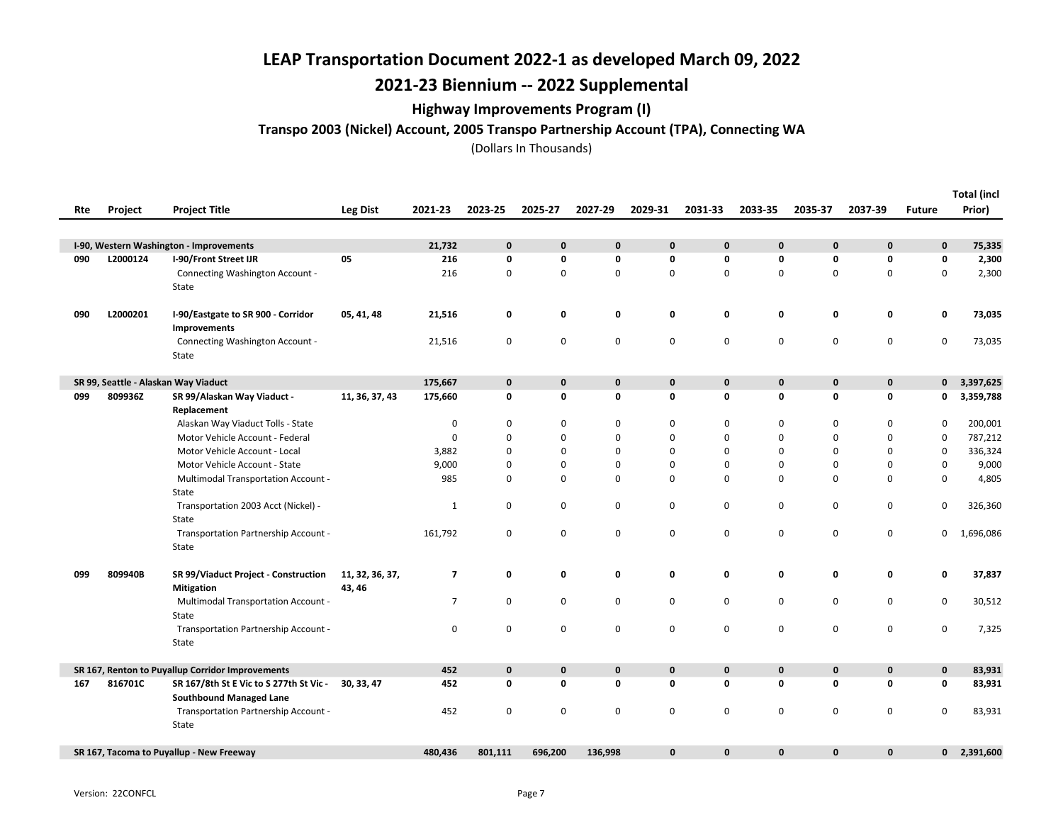# 2021-23 Biennium -- 2022 Supplemental

### Highway Improvements Program (I)

Transpo 2003 (Nickel) Account, 2005 Transpo Partnership Account (TPA), Connecting WA

| Rte | <b>Project</b> | <b>Project Title</b>                                                      | Leg Dist                  | 2021-23                 | 2023-25      | 2025-27     | 2027-29     | 2029-31      | 2031-33      | 2033-35      | 2035-37      | 2037-39      | <b>Future</b> | <b>Total (incl</b><br>Prior) |
|-----|----------------|---------------------------------------------------------------------------|---------------------------|-------------------------|--------------|-------------|-------------|--------------|--------------|--------------|--------------|--------------|---------------|------------------------------|
|     |                |                                                                           |                           |                         |              |             |             |              |              |              |              |              |               |                              |
|     |                | I-90, Western Washington - Improvements                                   |                           | 21,732                  | $\mathbf{0}$ | 0           | 0           | $\mathbf 0$  | $\mathbf{0}$ | $\mathbf{0}$ | $\mathbf{0}$ | $\mathbf{0}$ | $\mathbf 0$   | 75,335                       |
| 090 | L2000124       | I-90/Front Street IJR                                                     | 05                        | 216                     | 0            | 0           | 0           | 0            | 0            | $\mathbf 0$  | 0            | 0            | 0             | 2,300                        |
|     |                | Connecting Washington Account -<br>State                                  |                           | 216                     | 0            | $\mathsf 0$ | 0           | 0            | 0            | $\mathbf 0$  | 0            | 0            | 0             | 2,300                        |
| 090 | L2000201       | I-90/Eastgate to SR 900 - Corridor<br>Improvements                        | 05, 41, 48                | 21,516                  | 0            | 0           | 0           | 0            | 0            | 0            | 0            | 0            | 0             | 73,035                       |
|     |                | Connecting Washington Account -<br>State                                  |                           | 21,516                  | 0            | 0           | 0           | 0            | 0            | 0            | 0            | 0            | 0             | 73,035                       |
|     |                | SR 99, Seattle - Alaskan Way Viaduct                                      |                           | 175,667                 | $\mathbf 0$  | 0           | 0           | 0            | 0            | $\mathbf 0$  | $\mathbf 0$  | 0            | $\mathbf 0$   | 3,397,625                    |
| 099 | 809936Z        | SR 99/Alaskan Way Viaduct -<br>Replacement                                | 11, 36, 37, 43            | 175,660                 | 0            | 0           | 0           | 0            | 0            | $\mathbf 0$  | 0            | 0            | 0             | 3,359,788                    |
|     |                | Alaskan Way Viaduct Tolls - State                                         |                           | 0                       | $\mathbf 0$  | $\mathbf 0$ | 0           | 0            | 0            | 0            | 0            | 0            | 0             | 200,001                      |
|     |                | Motor Vehicle Account - Federal                                           |                           | 0                       | 0            | $\mathbf 0$ | 0           | 0            | 0            | $\mathbf 0$  | 0            | 0            | 0             | 787,212                      |
|     |                | Motor Vehicle Account - Local                                             |                           | 3,882                   | $\Omega$     | $\mathbf 0$ | $\mathbf 0$ | $\Omega$     | $\Omega$     | $\Omega$     | 0            | $\Omega$     | $\mathbf 0$   | 336,324                      |
|     |                | Motor Vehicle Account - State                                             |                           | 9,000                   | 0            | 0           | 0           | 0            | 0            | 0            | 0            | 0            | 0             | 9,000                        |
|     |                | <b>Multimodal Transportation Account -</b><br>State                       |                           | 985                     | 0            | 0           | 0           | 0            | 0            | $\mathbf 0$  | 0            | 0            | 0             | 4,805                        |
|     |                | Transportation 2003 Acct (Nickel) -<br>State                              |                           | $\mathbf{1}$            | 0            | 0           | 0           | 0            | 0            | $\pmb{0}$    | 0            | 0            | 0             | 326,360                      |
|     |                | Transportation Partnership Account -<br>State                             |                           | 161,792                 | $\mathbf 0$  | 0           | 0           | 0            | 0            | $\pmb{0}$    | 0            | 0            | 0             | 1,696,086                    |
| 099 | 809940B        | SR 99/Viaduct Project - Construction<br><b>Mitigation</b>                 | 11, 32, 36, 37,<br>43, 46 | $\overline{\mathbf{z}}$ | 0            | 0           | 0           | 0            | 0            | 0            | 0            | 0            | 0             | 37,837                       |
|     |                | <b>Multimodal Transportation Account -</b><br>State                       |                           | 7                       | 0            | 0           | 0           | 0            | 0            | 0            | 0            | 0            | 0             | 30,512                       |
|     |                | Transportation Partnership Account -<br>State                             |                           | 0                       | 0            | $\mathbf 0$ | 0           | 0            | 0            | $\pmb{0}$    | $\pmb{0}$    | 0            | 0             | 7,325                        |
|     |                | SR 167, Renton to Puyallup Corridor Improvements                          |                           | 452                     | 0            | 0           | 0           | 0            | 0            | 0            | $\bf{0}$     | 0            | 0             | 83,931                       |
| 167 | 816701C        | SR 167/8th St E Vic to S 277th St Vic -<br><b>Southbound Managed Lane</b> | 30, 33, 47                | 452                     | $\mathbf 0$  | $\mathbf 0$ | 0           | 0            | 0            | 0            | $\mathbf 0$  | 0            | 0             | 83,931                       |
|     |                | Transportation Partnership Account -<br>State                             |                           | 452                     | 0            | 0           | $\pmb{0}$   | 0            | 0            | $\mathbf 0$  | 0            | 0            | 0             | 83,931                       |
|     |                | SR 167, Tacoma to Puyallup - New Freeway                                  |                           | 480,436                 | 801,111      | 696,200     | 136,998     | $\mathbf{0}$ | $\mathbf{0}$ | $\mathbf 0$  | $\mathbf{0}$ | $\mathbf{0}$ | $\mathbf{0}$  | 2,391,600                    |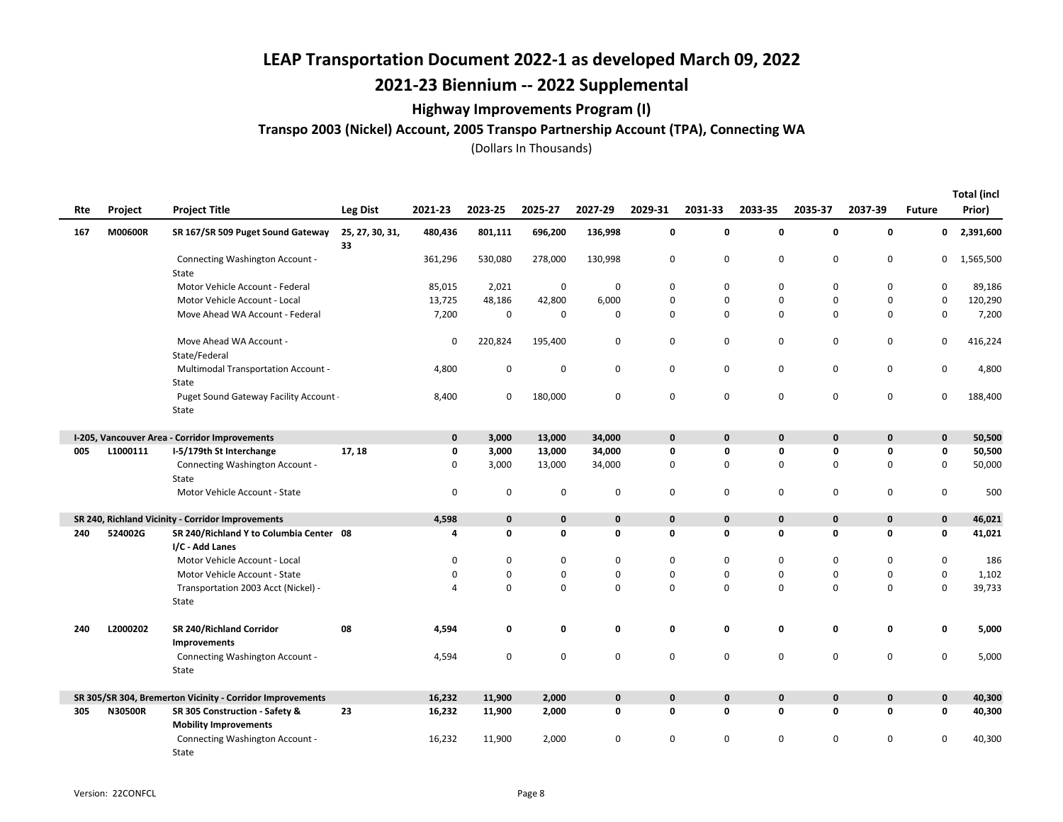## 2021-23 Biennium -- 2022 Supplemental

### Highway Improvements Program (I)

### Transpo 2003 (Nickel) Account, 2005 Transpo Partnership Account (TPA), Connecting WA

|     |                |                                                                 |                       |             |             |             |                    |             |              |              |             |             |               | <b>Total (incl</b> |
|-----|----------------|-----------------------------------------------------------------|-----------------------|-------------|-------------|-------------|--------------------|-------------|--------------|--------------|-------------|-------------|---------------|--------------------|
| Rte | Project        | <b>Project Title</b>                                            | <b>Leg Dist</b>       | 2021-23     | 2023-25     | 2025-27     | 2027-29            | 2029-31     | 2031-33      | 2033-35      | 2035-37     | 2037-39     | <b>Future</b> | Prior)             |
| 167 | M00600R        | SR 167/SR 509 Puget Sound Gateway                               | 25, 27, 30, 31,<br>33 | 480,436     | 801,111     | 696,200     | 136,998            | 0           | $\mathbf 0$  | $\mathbf 0$  | 0           | 0           | $\mathbf 0$   | 2,391,600          |
|     |                | Connecting Washington Account -<br>State                        |                       | 361,296     | 530,080     | 278,000     | 130,998            | 0           | 0            | 0            | 0           | 0           | 0             | 1,565,500          |
|     |                | Motor Vehicle Account - Federal                                 |                       | 85,015      | 2,021       | 0           | 0                  | 0           | 0            | 0            | 0           | 0           | 0             | 89,186             |
|     |                | Motor Vehicle Account - Local                                   |                       | 13,725      | 48,186      | 42,800      | 6,000              | 0           | $\mathbf 0$  | $\mathsf 0$  | 0           | $\pmb{0}$   | 0             | 120,290            |
|     |                | Move Ahead WA Account - Federal                                 |                       | 7,200       | $\mathbf 0$ | 0           | 0                  | 0           | 0            | $\mathsf 0$  | 0           | 0           | 0             | 7,200              |
|     |                | Move Ahead WA Account -<br>State/Federal                        |                       | 0           | 220,824     | 195,400     | 0                  | 0           | 0            | $\mathbf 0$  | 0           | 0           | 0             | 416,224            |
|     |                | <b>Multimodal Transportation Account -</b><br>State             |                       | 4,800       | $\mathbf 0$ | 0           | 0                  | 0           | 0            | 0            | 0           | 0           | 0             | 4,800              |
|     |                | Puget Sound Gateway Facility Account .<br>State                 |                       | 8,400       | $\mathbf 0$ | 180,000     | 0                  | $\pmb{0}$   | $\mathbf 0$  | $\mathbf 0$  | 0           | 0           | 0             | 188,400            |
|     |                | I-205, Vancouver Area - Corridor Improvements                   |                       | 0           | 3,000       | 13,000      | 34,000             | $\mathbf 0$ | $\mathbf{0}$ | $\mathbf 0$  | $\mathbf 0$ | $\mathbf 0$ | $\mathbf 0$   | 50,500             |
| 005 | L1000111       | I-5/179th St Interchange                                        | 17, 18                | 0           | 3,000       | 13,000      | 34,000             | $\mathbf 0$ | $\mathbf{0}$ | 0            | 0           | 0           | 0             | 50,500             |
|     |                | Connecting Washington Account -<br>State                        |                       | 0           | 3,000       | 13,000      | 34,000             | 0           | 0            | $\mathbf 0$  | 0           | 0           | 0             | 50,000             |
|     |                | Motor Vehicle Account - State                                   |                       | 0           | $\mathbf 0$ | 0           | 0                  | 0           | 0            | 0            | $\mathbf 0$ | 0           | 0             | 500                |
|     |                | SR 240, Richland Vicinity - Corridor Improvements               |                       | 4,598       | $\mathbf 0$ | $\mathbf 0$ | $\pmb{\mathsf{o}}$ | $\mathbf 0$ | $\mathbf{0}$ | $\mathbf 0$  | $\mathbf 0$ | 0           | $\mathbf 0$   | 46,021             |
| 240 | 524002G        | SR 240/Richland Y to Columbia Center 08<br>I/C - Add Lanes      |                       | 4           | $\mathbf 0$ | 0           | 0                  | 0           | 0            | $\mathbf{0}$ | 0           | 0           | 0             | 41,021             |
|     |                | Motor Vehicle Account - Local                                   |                       | $\Omega$    | $\mathbf 0$ | 0           | 0                  | 0           | $\mathbf 0$  | $\mathbf 0$  | 0           | 0           | 0             | 186                |
|     |                | Motor Vehicle Account - State                                   |                       | $\mathbf 0$ | $\mathbf 0$ | 0           | 0                  | 0           | $\mathbf 0$  | $\mathbf 0$  | 0           | 0           | $\mathsf 0$   | 1,102              |
|     |                | Transportation 2003 Acct (Nickel) -<br>State                    |                       | Δ           | $\mathbf 0$ | $\mathbf 0$ | 0                  | $\mathbf 0$ | $\Omega$     | $\Omega$     | 0           | 0           | 0             | 39,733             |
| 240 | L2000202       | SR 240/Richland Corridor<br>Improvements                        | 08                    | 4,594       | 0           | 0           | 0                  | 0           | 0            | 0            | 0           | 0           | 0             | 5,000              |
|     |                | Connecting Washington Account -<br>State                        |                       | 4,594       | $\pmb{0}$   | 0           | 0                  | 0           | $\mathbf 0$  | $\mathsf 0$  | $\mathbf 0$ | 0           | 0             | 5,000              |
|     |                | SR 305/SR 304, Bremerton Vicinity - Corridor Improvements       |                       | 16,232      | 11,900      | 2,000       | 0                  | $\bf{0}$    | $\mathbf 0$  | $\mathbf 0$  | 0           | 0           | 0             | 40,300             |
| 305 | <b>N30500R</b> | SR 305 Construction - Safety &                                  | 23                    | 16,232      | 11,900      | 2,000       | 0                  | 0           | 0            | $\mathbf 0$  | 0           | 0           | 0             | 40,300             |
|     |                | <b>Mobility Improvements</b><br>Connecting Washington Account - |                       | 16,232      | 11,900      | 2,000       | 0                  | 0           | $\Omega$     | $\mathbf 0$  | 0           | 0           | 0             | 40,300             |
|     |                | State                                                           |                       |             |             |             |                    |             |              |              |             |             |               |                    |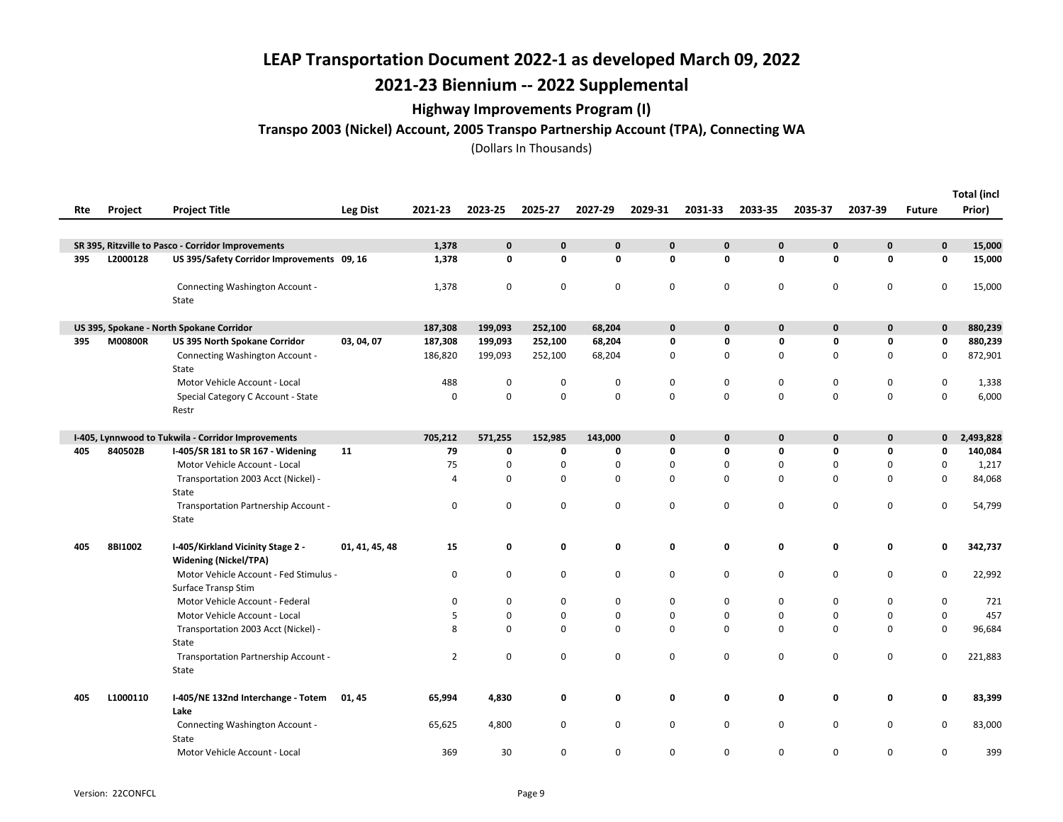# 2021-23 Biennium -- 2022 Supplemental

### Highway Improvements Program (I)

Transpo 2003 (Nickel) Account, 2005 Transpo Partnership Account (TPA), Connecting WA

| Rte | Project  | <b>Project Title</b>                                              | Leg Dist       | 2021-23        | 2023-25     | 2025-27      | 2027-29     | 2029-31     | 2031-33      | 2033-35     | 2035-37      | 2037-39      | <b>Future</b> | <b>Total (incl</b><br>Prior) |
|-----|----------|-------------------------------------------------------------------|----------------|----------------|-------------|--------------|-------------|-------------|--------------|-------------|--------------|--------------|---------------|------------------------------|
|     |          |                                                                   |                |                |             |              |             |             |              |             |              |              |               |                              |
|     |          | SR 395, Ritzville to Pasco - Corridor Improvements                |                | 1,378          | $\mathbf 0$ | $\mathbf{0}$ | 0           | 0           | $\mathbf{0}$ | $\mathbf 0$ | $\mathbf{0}$ | 0            | $\mathbf{0}$  | 15,000                       |
| 395 | L2000128 | US 395/Safety Corridor Improvements 09, 16                        |                | 1,378          | 0           | 0            | 0           | 0           | 0            | $\mathbf 0$ | 0            | 0            | 0             | 15,000                       |
|     |          | Connecting Washington Account -<br>State                          |                | 1,378          | $\mathbf 0$ | $\mathbf 0$  | 0           | 0           | $\mathbf 0$  | $\mathbf 0$ | 0            | 0            | 0             | 15,000                       |
|     |          | US 395, Spokane - North Spokane Corridor                          |                | 187,308        | 199,093     | 252,100      | 68,204      | $\mathbf 0$ | $\mathbf{0}$ | $\mathbf 0$ | $\mathbf 0$  | $\mathbf{0}$ | $\mathbf 0$   | 880,239                      |
| 395 | M00800R  | US 395 North Spokane Corridor                                     | 03, 04, 07     | 187,308        | 199,093     | 252,100      | 68,204      | 0           | 0            | 0           | 0            | 0            | 0             | 880,239                      |
|     |          | Connecting Washington Account -<br>State                          |                | 186,820        | 199,093     | 252,100      | 68,204      | 0           | 0            | $\mathbf 0$ | $\mathbf 0$  | 0            | $\mathbf 0$   | 872,901                      |
|     |          | Motor Vehicle Account - Local                                     |                | 488            | $\mathbf 0$ | 0            | 0           | 0           | 0            | $\mathbf 0$ | 0            | 0            | 0             | 1,338                        |
|     |          | Special Category C Account - State<br>Restr                       |                | 0              | $\mathbf 0$ | $\Omega$     | $\mathsf 0$ | 0           | $\Omega$     | $\Omega$    | 0            | $\mathbf 0$  | 0             | 6,000                        |
|     |          | I-405, Lynnwood to Tukwila - Corridor Improvements                |                | 705,212        | 571,255     | 152,985      | 143,000     | $\pmb{0}$   | $\mathbf{0}$ | $\mathbf 0$ | $\mathbf 0$  | $\mathbf{0}$ | $\mathbf{0}$  | 2,493,828                    |
| 405 | 840502B  | I-405/SR 181 to SR 167 - Widening                                 | 11             | 79             | 0           | 0            | 0           | 0           | 0            | $\mathbf 0$ | 0            | 0            | 0             | 140,084                      |
|     |          | Motor Vehicle Account - Local                                     |                | 75             | 0           | 0            | 0           | 0           | 0            | 0           | 0            | 0            | 0             | 1,217                        |
|     |          | Transportation 2003 Acct (Nickel) -<br>State                      |                | $\overline{4}$ | $\mathbf 0$ | $\mathbf 0$  | $\mathsf 0$ | 0           | 0            | $\mathbf 0$ | $\mathbf 0$  | 0            | 0             | 84,068                       |
|     |          | Transportation Partnership Account -<br>State                     |                | $\mathbf 0$    | $\pmb{0}$   | 0            | $\mathsf 0$ | 0           | 0            | $\mathbf 0$ | $\mathsf 0$  | 0            | 0             | 54,799                       |
| 405 | 8BI1002  | I-405/Kirkland Vicinity Stage 2 -<br><b>Widening (Nickel/TPA)</b> | 01, 41, 45, 48 | 15             | 0           | 0            | 0           | 0           | 0            | 0           | 0            | 0            | 0             | 342,737                      |
|     |          | Motor Vehicle Account - Fed Stimulus -<br>Surface Transp Stim     |                | 0              | $\mathbf 0$ | 0            | 0           | 0           | 0            | 0           | $\mathsf 0$  | 0            | 0             | 22,992                       |
|     |          | Motor Vehicle Account - Federal                                   |                | 0              | 0           | 0            | 0           | 0           | 0            | 0           | 0            | 0            | 0             | 721                          |
|     |          | Motor Vehicle Account - Local                                     |                | 5              | 0           | $\mathbf 0$  | $\mathbf 0$ | 0           | $\mathbf 0$  | $\mathbf 0$ | 0            | 0            | 0             | 457                          |
|     |          | Transportation 2003 Acct (Nickel) -<br>State                      |                | 8              | $\mathbf 0$ | $\mathbf 0$  | $\mathsf 0$ | 0           | $\mathbf 0$  | $\mathbf 0$ | 0            | 0            | 0             | 96,684                       |
|     |          | Transportation Partnership Account -<br>State                     |                | $\overline{2}$ | 0           | $\mathbf 0$  | $\mathsf 0$ | 0           | 0            | $\mathbf 0$ | 0            | 0            | 0             | 221,883                      |
| 405 | L1000110 | I-405/NE 132nd Interchange - Totem<br>Lake                        | 01, 45         | 65,994         | 4,830       | 0            | 0           | 0           | 0            | 0           | 0            | 0            | 0             | 83,399                       |
|     |          | Connecting Washington Account -<br>State                          |                | 65,625         | 4,800       | 0            | 0           | 0           | 0            | $\mathbf 0$ | 0            | 0            | 0             | 83,000                       |
|     |          | Motor Vehicle Account - Local                                     |                | 369            | 30          | 0            | 0           | 0           | 0            | 0           | 0            | 0            | 0             | 399                          |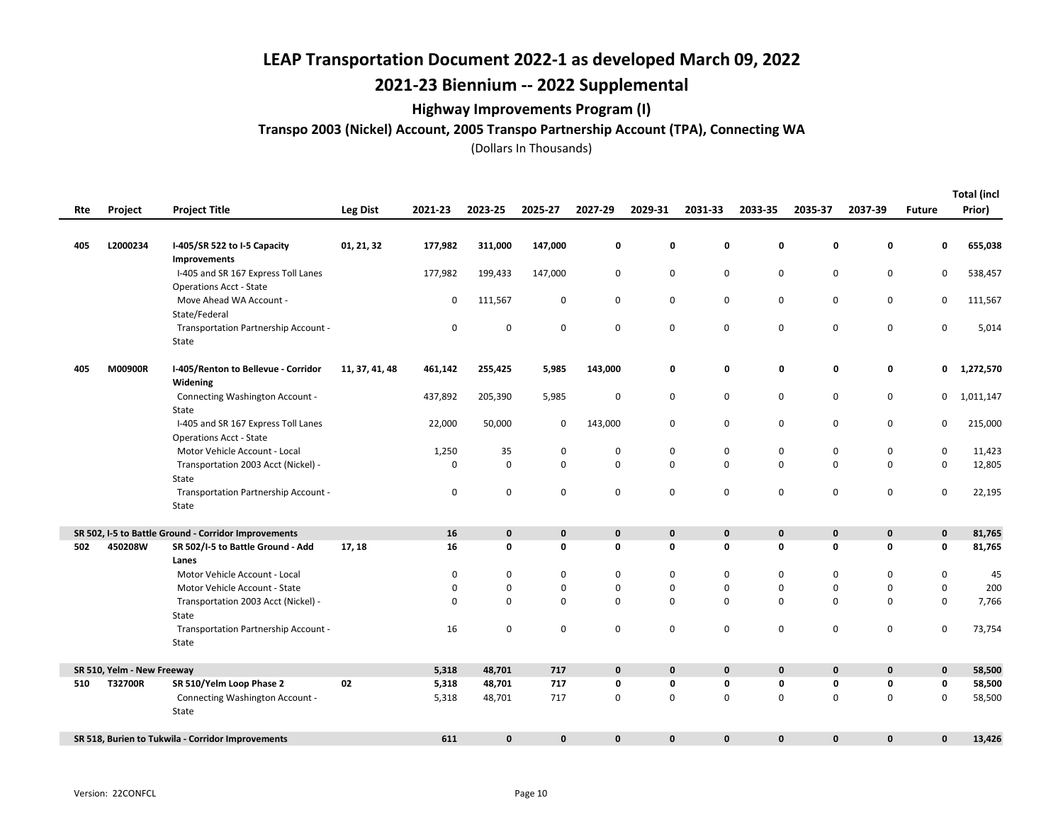# 2021-23 Biennium -- 2022 Supplemental

### Highway Improvements Program (I)

### Transpo 2003 (Nickel) Account, 2005 Transpo Partnership Account (TPA), Connecting WA

| Rte | Project                    | <b>Project Title</b>                                                  | <b>Leg Dist</b> | 2021-23     | 2023-25      | 2025-27      | 2027-29            | 2029-31     | 2031-33      | 2033-35     | 2035-37     | 2037-39      | <b>Future</b> | <b>Total (incl</b><br>Prior) |
|-----|----------------------------|-----------------------------------------------------------------------|-----------------|-------------|--------------|--------------|--------------------|-------------|--------------|-------------|-------------|--------------|---------------|------------------------------|
|     |                            |                                                                       |                 |             |              |              |                    |             |              |             |             |              |               |                              |
| 405 | L2000234                   | I-405/SR 522 to I-5 Capacity                                          | 01, 21, 32      | 177,982     | 311,000      | 147,000      | 0                  | 0           | 0            | 0           | $\mathbf 0$ | 0            | 0             | 655,038                      |
|     |                            | Improvements<br>I-405 and SR 167 Express Toll Lanes                   |                 | 177,982     | 199,433      | 147,000      | 0                  | 0           | 0            | 0           | $\mathbf 0$ | 0            | 0             | 538,457                      |
|     |                            | <b>Operations Acct - State</b>                                        |                 |             |              |              |                    |             |              |             |             |              |               |                              |
|     |                            | Move Ahead WA Account -                                               |                 | 0           | 111,567      | 0            | 0                  | 0           | 0            | 0           | $\mathsf 0$ | 0            | 0             | 111,567                      |
|     |                            | State/Federal                                                         |                 |             |              |              |                    |             |              |             |             |              |               |                              |
|     |                            | Transportation Partnership Account -<br>State                         |                 | $\pmb{0}$   | $\pmb{0}$    | 0            | $\pmb{0}$          | $\mathbf 0$ | $\mathbf 0$  | $\mathsf 0$ | $\pmb{0}$   | $\mathsf 0$  | 0             | 5,014                        |
| 405 | M00900R                    | I-405/Renton to Bellevue - Corridor<br>Widening                       | 11, 37, 41, 48  | 461,142     | 255,425      | 5,985        | 143,000            | 0           | 0            | 0           | 0           | 0            | 0             | 1,272,570                    |
|     |                            | Connecting Washington Account -                                       |                 | 437,892     | 205,390      | 5,985        | 0                  | $\mathbf 0$ | 0            | 0           | $\mathbf 0$ | 0            | 0             | 1,011,147                    |
|     |                            | State                                                                 |                 |             |              |              |                    |             |              |             |             |              |               |                              |
|     |                            | I-405 and SR 167 Express Toll Lanes<br><b>Operations Acct - State</b> |                 | 22,000      | 50,000       | 0            | 143,000            | $\mathbf 0$ | 0            | 0           | 0           | $\mathbf 0$  | 0             | 215,000                      |
|     |                            | Motor Vehicle Account - Local                                         |                 | 1,250       | 35           | 0            | 0                  | 0           | 0            | 0           | 0           | 0            | 0             | 11,423                       |
|     |                            | Transportation 2003 Acct (Nickel) -                                   |                 | $\mathbf 0$ | $\mathsf 0$  | 0            | $\pmb{0}$          | $\mathbf 0$ | $\Omega$     | $\mathbf 0$ | $\mathsf 0$ | $\mathsf 0$  | 0             | 12,805                       |
|     |                            | State                                                                 |                 |             |              |              |                    |             |              |             |             |              |               |                              |
|     |                            | Transportation Partnership Account -<br>State                         |                 | $\mathbf 0$ | 0            | 0            | $\pmb{0}$          | $\mathsf 0$ | 0            | $\mathbf 0$ | $\pmb{0}$   | $\mathsf 0$  | 0             | 22,195                       |
|     |                            | SR 502, I-5 to Battle Ground - Corridor Improvements                  |                 | 16          | $\mathbf 0$  | $\mathbf{0}$ | $\mathbf 0$        | $\mathbf 0$ | $\mathbf{0}$ | $\mathbf 0$ | $\mathbf 0$ | $\mathbf{0}$ | $\mathbf 0$   | 81,765                       |
| 502 | 450208W                    | SR 502/I-5 to Battle Ground - Add                                     | 17, 18          | 16          | 0            | 0            | 0                  | $\pmb{0}$   | 0            | 0           | 0           | 0            | 0             | 81,765                       |
|     |                            | Lanes                                                                 |                 |             |              |              |                    |             |              |             |             |              |               |                              |
|     |                            | Motor Vehicle Account - Local                                         |                 | $\mathbf 0$ | 0            | $\mathbf 0$  | $\pmb{0}$          | $\mathsf 0$ | 0            | 0           | $\mathbf 0$ | 0            | $\pmb{0}$     | 45                           |
|     |                            | Motor Vehicle Account - State                                         |                 | 0           | 0            | 0            | 0                  | 0           | 0            | 0           | 0           | $\mathbf 0$  | 0             | 200                          |
|     |                            | Transportation 2003 Acct (Nickel) -                                   |                 | $\Omega$    | $\mathbf 0$  | 0            | $\mathbf 0$        | $\mathbf 0$ | $\Omega$     | 0           | $\mathbf 0$ | 0            | 0             | 7,766                        |
|     |                            | State                                                                 |                 |             |              |              |                    |             |              |             |             |              |               |                              |
|     |                            | Transportation Partnership Account -                                  |                 | 16          | 0            | 0            | 0                  | $\mathbf 0$ | 0            | 0           | 0           | 0            | 0             | 73,754                       |
|     |                            | State                                                                 |                 |             |              |              |                    |             |              |             |             |              |               |                              |
|     | SR 510, Yelm - New Freeway |                                                                       |                 | 5,318       | 48,701       | 717          | $\pmb{\mathsf{o}}$ | $\pmb{0}$   | $\mathbf 0$  | 0           | $\pmb{0}$   | $\mathbf 0$  | $\mathbf 0$   | 58,500                       |
| 510 | T32700R                    | SR 510/Yelm Loop Phase 2                                              | 02              | 5,318       | 48,701       | 717          | 0                  | 0           | 0            | 0           | $\mathbf 0$ | 0            | 0             | 58,500                       |
|     |                            | Connecting Washington Account -                                       |                 | 5,318       | 48,701       | 717          | 0                  | $\mathbf 0$ | 0            | 0           | $\mathbf 0$ | $\mathbf 0$  | 0             | 58,500                       |
|     |                            | State                                                                 |                 |             |              |              |                    |             |              |             |             |              |               |                              |
|     |                            | SR 518, Burien to Tukwila - Corridor Improvements                     |                 | 611         | $\mathbf{0}$ | $\mathbf{0}$ | $\mathbf 0$        | $\mathbf 0$ | $\mathbf{0}$ | $\mathbf 0$ | $\mathbf 0$ | $\mathbf{0}$ | $\mathbf{0}$  | 13,426                       |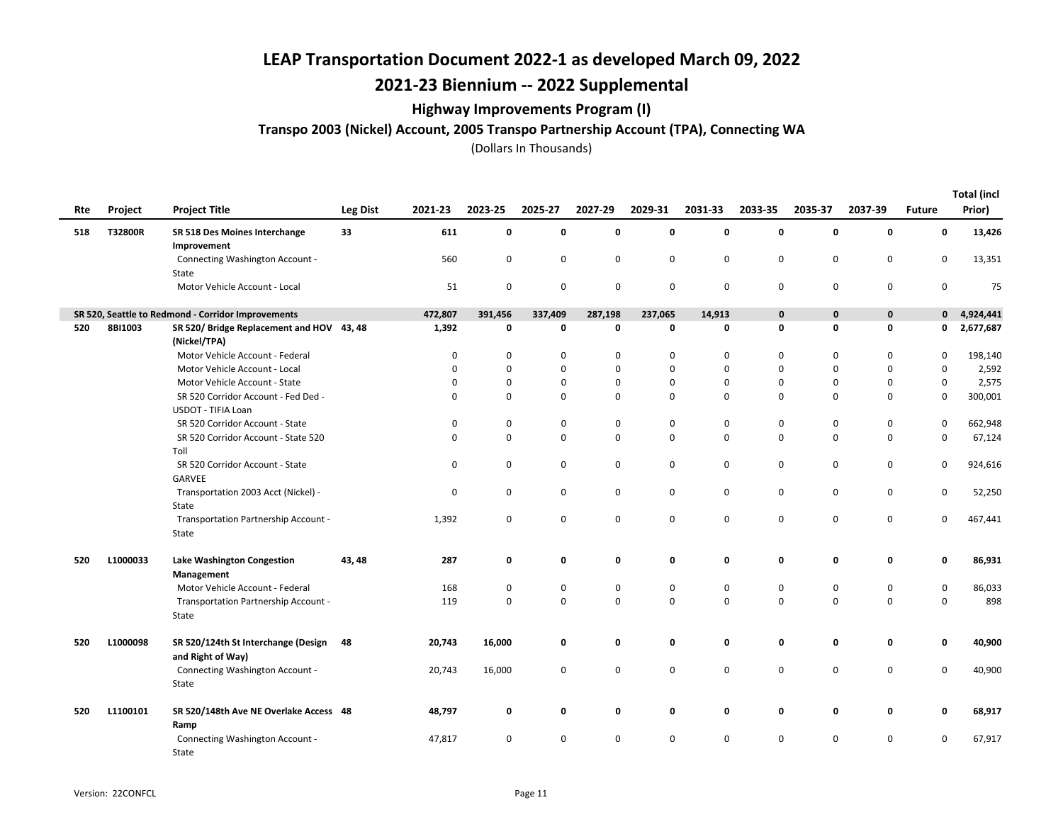## 2021-23 Biennium -- 2022 Supplemental

### Highway Improvements Program (I)

Transpo 2003 (Nickel) Account, 2005 Transpo Partnership Account (TPA), Connecting WA

| Rte | Project  | <b>Project Title</b>                                      | Leg Dist | 2021-23  | 2023-25     | 2025-27     | 2027-29   | 2029-31     | 2031-33     | 2033-35     | 2035-37     | 2037-39     | <b>Future</b> | <b>Total (incl</b><br>Prior) |
|-----|----------|-----------------------------------------------------------|----------|----------|-------------|-------------|-----------|-------------|-------------|-------------|-------------|-------------|---------------|------------------------------|
| 518 | T32800R  | SR 518 Des Moines Interchange<br>Improvement              | 33       | 611      | $\mathbf 0$ | 0           | 0         | 0           | 0           | 0           | 0           | 0           | 0             | 13,426                       |
|     |          | Connecting Washington Account -<br>State                  |          | 560      | $\mathbf 0$ | 0           | 0         | 0           | $\mathbf 0$ | 0           | 0           | 0           | 0             | 13,351                       |
|     |          | Motor Vehicle Account - Local                             |          | 51       | $\mathbf 0$ | 0           | 0         | $\mathbf 0$ | $\mathbf 0$ | $\mathbf 0$ | $\pmb{0}$   | $\mathbf 0$ | 0             | 75                           |
|     |          | SR 520, Seattle to Redmond - Corridor Improvements        |          | 472,807  | 391,456     | 337,409     | 287,198   | 237,065     | 14,913      | 0           | $\mathbf 0$ | $\mathbf 0$ | $\mathbf 0$   | 4,924,441                    |
| 520 | 8BI1003  | SR 520/Bridge Replacement and HOV 43, 48<br>(Nickel/TPA)  |          | 1,392    | 0           | 0           | 0         | 0           | 0           | 0           | 0           | 0           | 0             | 2,677,687                    |
|     |          | Motor Vehicle Account - Federal                           |          | $\Omega$ | $\Omega$    | $\Omega$    | 0         | 0           | 0           | $\Omega$    | 0           | 0           | $\Omega$      | 198,140                      |
|     |          | Motor Vehicle Account - Local                             |          | 0        | $\mathbf 0$ | $\mathbf 0$ | 0         | 0           | $\mathbf 0$ | 0           | $\Omega$    | $\mathbf 0$ | 0             | 2,592                        |
|     |          | Motor Vehicle Account - State                             |          | $\Omega$ | $\Omega$    | $\mathbf 0$ | 0         | 0           | 0           | 0           | $\Omega$    | $\mathbf 0$ | 0             | 2,575                        |
|     |          | SR 520 Corridor Account - Fed Ded -<br>USDOT - TIFIA Loan |          | $\Omega$ | $\Omega$    | $\mathbf 0$ | 0         | 0           | $\Omega$    | 0           | $\Omega$    | $\mathbf 0$ | $\mathbf 0$   | 300,001                      |
|     |          | SR 520 Corridor Account - State                           |          | 0        | 0           | 0           | 0         | 0           | 0           | 0           | $\mathbf 0$ | 0           | 0             | 662,948                      |
|     |          | SR 520 Corridor Account - State 520<br>Toll               |          | $\Omega$ | $\mathbf 0$ | $\mathbf 0$ | 0         | 0           | $\Omega$    | 0           | $\mathbf 0$ | $\mathbf 0$ | $\mathbf 0$   | 67,124                       |
|     |          | SR 520 Corridor Account - State<br>GARVEE                 |          | 0        | 0           | $\mathbf 0$ | 0         | 0           | 0           | 0           | 0           | 0           | 0             | 924,616                      |
|     |          | Transportation 2003 Acct (Nickel) -<br>State              |          | 0        | 0           | 0           | 0         | 0           | 0           | 0           | 0           | $\mathbf 0$ | 0             | 52,250                       |
|     |          | Transportation Partnership Account -<br>State             |          | 1,392    | $\mathbf 0$ | 0           | 0         | 0           | $\mathbf 0$ | 0           | $\mathbf 0$ | 0           | 0             | 467,441                      |
| 520 | L1000033 | <b>Lake Washington Congestion</b><br>Management           | 43, 48   | 287      | 0           | 0           | 0         | 0           | 0           | 0           | 0           | 0           | 0             | 86,931                       |
|     |          | Motor Vehicle Account - Federal                           |          | 168      | $\mathbf 0$ | $\mathbf 0$ | $\pmb{0}$ | 0           | $\mathbf 0$ | 0           | $\pmb{0}$   | $\mathbf 0$ | $\mathsf 0$   | 86,033                       |
|     |          | Transportation Partnership Account -<br>State             |          | 119      | $\mathbf 0$ | 0           | 0         | 0           | $\mathbf 0$ | 0           | $\pmb{0}$   | $\mathsf 0$ | 0             | 898                          |
| 520 | L1000098 | SR 520/124th St Interchange (Design<br>and Right of Way)  | - 48     | 20,743   | 16,000      | 0           | 0         | 0           | 0           | 0           | 0           | 0           | 0             | 40,900                       |
|     |          | Connecting Washington Account -<br>State                  |          | 20,743   | 16,000      | 0           | 0         | 0           | 0           | 0           | $\mathbf 0$ | $\mathbf 0$ | 0             | 40,900                       |
| 520 | L1100101 | SR 520/148th Ave NE Overlake Access 48<br>Ramp            |          | 48,797   | 0           | 0           | 0         | 0           | 0           | 0           | 0           | 0           | 0             | 68,917                       |
|     |          | Connecting Washington Account -<br>State                  |          | 47,817   | 0           | 0           | 0         | 0           | $\mathbf 0$ | 0           | $\mathbf 0$ | 0           | 0             | 67,917                       |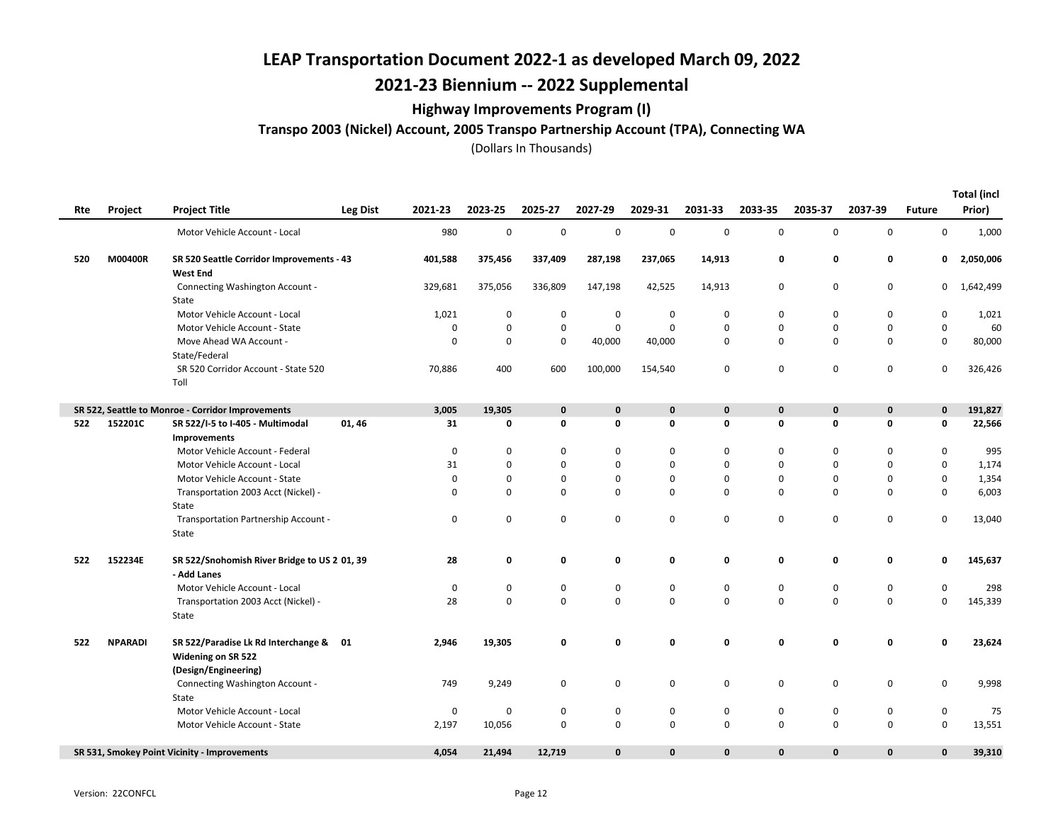## 2021-23 Biennium -- 2022 Supplemental

### Highway Improvements Program (I)

Transpo 2003 (Nickel) Account, 2005 Transpo Partnership Account (TPA), Connecting WA

|     | Project        | <b>Project Title</b>                                                | <b>Leg Dist</b> | 2021-23     | 2023-25 | 2025-27     | 2027-29     | 2029-31     | 2031-33      | 2033-35      | 2035-37      | 2037-39      | <b>Future</b>       | <b>Total (incl</b><br>Prior) |
|-----|----------------|---------------------------------------------------------------------|-----------------|-------------|---------|-------------|-------------|-------------|--------------|--------------|--------------|--------------|---------------------|------------------------------|
| Rte |                |                                                                     |                 |             |         |             |             |             |              |              |              |              |                     |                              |
|     |                | Motor Vehicle Account - Local                                       |                 | 980         | 0       | 0           | $\mathbf 0$ | $\mathsf 0$ | $\mathbf 0$  | 0            | 0            | $\mathbf 0$  | 0                   | 1,000                        |
| 520 | M00400R        | SR 520 Seattle Corridor Improvements - 43<br><b>West End</b>        |                 | 401,588     | 375,456 | 337,409     | 287,198     | 237,065     | 14,913       | 0            | 0            | 0            | 0                   | 2,050,006                    |
|     |                | Connecting Washington Account -<br>State                            |                 | 329,681     | 375,056 | 336,809     | 147,198     | 42,525      | 14,913       | 0            | 0            | $\mathbf 0$  | $\mathbf{0}$        | 1,642,499                    |
|     |                | Motor Vehicle Account - Local                                       |                 | 1,021       | 0       | 0           | $\mathbf 0$ | $\mathbf 0$ | 0            | 0            | 0            | 0            | 0                   | 1,021                        |
|     |                | Motor Vehicle Account - State                                       |                 | 0           | 0       | 0           | $\mathsf 0$ | $\mathbf 0$ | 0            | $\mathbf 0$  | 0            | 0            | 0                   | 60                           |
|     |                | Move Ahead WA Account -<br>State/Federal                            |                 | 0           | 0       | $\mathbf 0$ | 40,000      | 40,000      | 0            | $\mathbf 0$  | 0            | $\mathbf 0$  | 0                   | 80,000                       |
|     |                | SR 520 Corridor Account - State 520<br>Toll                         |                 | 70,886      | 400     | 600         | 100,000     | 154,540     | 0            | 0            | $\mathbf 0$  | $\mathbf 0$  | 0                   | 326,426                      |
|     |                | SR 522, Seattle to Monroe - Corridor Improvements                   |                 | 3,005       | 19,305  | 0           | 0           | $\bf{0}$    | 0            | 0            | 0            | $\mathbf 0$  | 0                   | 191,827                      |
| 522 | 152201C        | SR 522/I-5 to I-405 - Multimodal                                    | 01, 46          | 31          | 0       | 0           | 0           | 0           | 0            | 0            | 0            | $\mathbf 0$  | 0                   | 22,566                       |
|     |                | <b>Improvements</b>                                                 |                 |             |         |             |             |             |              |              |              |              |                     |                              |
|     |                | Motor Vehicle Account - Federal                                     |                 | $\mathbf 0$ | 0       | 0           | 0           | $\mathbf 0$ | $\mathbf 0$  | 0            | 0            | 0            | 0                   | 995                          |
|     |                | Motor Vehicle Account - Local                                       |                 | 31          | 0       | 0           | 0           | $\mathbf 0$ | 0            | $\mathbf 0$  | 0            | $\mathbf 0$  | 0                   | 1,174                        |
|     |                | Motor Vehicle Account - State                                       |                 | 0           | 0       | 0           | 0           | 0           | 0            | 0            | 0            | 0            | 0                   | 1,354                        |
|     |                | Transportation 2003 Acct (Nickel) -                                 |                 | $\mathbf 0$ | 0       | $\mathbf 0$ | 0           | $\mathbf 0$ | $\mathbf 0$  | $\mathbf 0$  | 0            | $\mathbf 0$  | 0                   | 6,003                        |
|     |                | State                                                               |                 |             |         |             |             |             |              |              |              |              |                     |                              |
|     |                | Transportation Partnership Account -                                |                 | $\pmb{0}$   | 0       | 0           | $\mathsf 0$ | $\mathbf 0$ | $\mathbf 0$  | 0            | $\mathsf 0$  | $\mathbf 0$  | 0                   | 13,040                       |
|     |                | State                                                               |                 |             |         |             |             |             |              |              |              |              |                     |                              |
| 522 | 152234E        | SR 522/Snohomish River Bridge to US 2 01, 39                        |                 | 28          | 0       | 0           | 0           | 0           | 0            | 0            | $\mathbf 0$  | $\mathbf 0$  | 0                   | 145,637                      |
|     |                | - Add Lanes                                                         |                 |             |         |             |             |             |              |              |              |              |                     |                              |
|     |                | Motor Vehicle Account - Local                                       |                 | $\mathbf 0$ | 0       | 0           | $\pmb{0}$   | $\mathsf 0$ | $\pmb{0}$    | 0            | 0            | $\mathbf 0$  | $\mathsf{O}\xspace$ | 298                          |
|     |                | Transportation 2003 Acct (Nickel) -                                 |                 | 28          | 0       | $\mathbf 0$ | $\mathbf 0$ | $\mathbf 0$ | $\mathbf 0$  | $\Omega$     | 0            | $\mathbf 0$  | 0                   | 145,339                      |
|     |                | State                                                               |                 |             |         |             |             |             |              |              |              |              |                     |                              |
| 522 | <b>NPARADI</b> | SR 522/Paradise Lk Rd Interchange & 01<br><b>Widening on SR 522</b> |                 | 2,946       | 19,305  | 0           | 0           | 0           | 0            | 0            | 0            | 0            | 0                   | 23,624                       |
|     |                | (Design/Engineering)                                                |                 |             |         |             |             |             |              |              |              |              |                     |                              |
|     |                | Connecting Washington Account -                                     |                 | 749         | 9,249   | 0           | 0           | 0           | 0            | 0            | 0            | $\mathbf 0$  | 0                   | 9,998                        |
|     |                | State                                                               |                 |             |         |             |             |             |              |              |              |              |                     |                              |
|     |                | Motor Vehicle Account - Local                                       |                 | $\mathbf 0$ | 0       | 0           | 0           | 0           | 0            | 0            | 0            | 0            | 0                   | 75                           |
|     |                | Motor Vehicle Account - State                                       |                 | 2,197       | 10,056  | 0           | $\pmb{0}$   | $\mathsf 0$ | 0            | 0            | $\mathbf 0$  | $\mathbf 0$  | 0                   | 13,551                       |
|     |                | SR 531, Smokey Point Vicinity - Improvements                        |                 | 4,054       | 21,494  | 12,719      | $\mathbf 0$ | $\mathbf 0$ | $\mathbf{0}$ | $\mathbf{0}$ | $\mathbf{0}$ | $\mathbf{0}$ | 0                   | 39,310                       |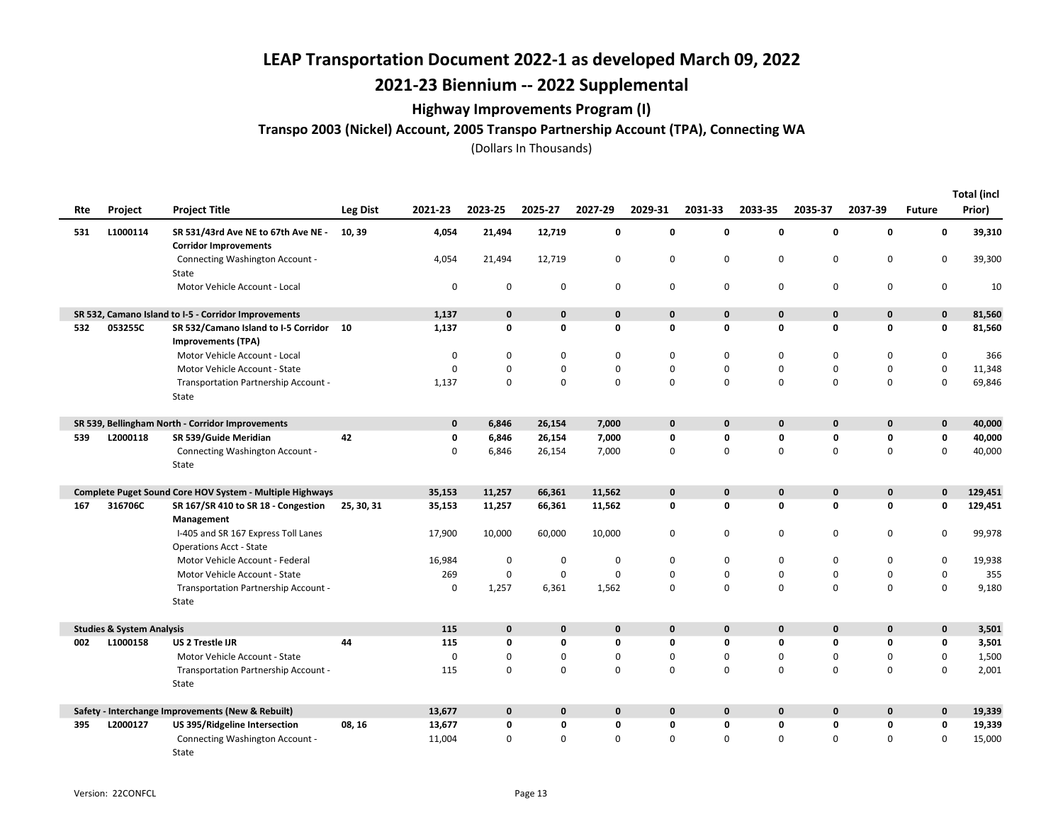## 2021-23 Biennium -- 2022 Supplemental

### Highway Improvements Program (I)

Transpo 2003 (Nickel) Account, 2005 Transpo Partnership Account (TPA), Connecting WA

| Rte                                                             | Project                              | <b>Project Title</b>                                                  | Leg Dist   | 2021-23      | 2023-25      | 2025-27      | 2027-29     | 2029-31      | 2031-33      | 2033-35      | 2035-37      | 2037-39      | <b>Future</b> | <b>Total (incl</b><br>Prior) |
|-----------------------------------------------------------------|--------------------------------------|-----------------------------------------------------------------------|------------|--------------|--------------|--------------|-------------|--------------|--------------|--------------|--------------|--------------|---------------|------------------------------|
| 531                                                             | L1000114                             | SR 531/43rd Ave NE to 67th Ave NE -<br><b>Corridor Improvements</b>   | 10, 39     | 4,054        | 21,494       | 12,719       | 0           | 0            | 0            | 0            | $\mathbf 0$  | 0            | 0             | 39,310                       |
|                                                                 |                                      | Connecting Washington Account -<br>State                              |            | 4,054        | 21,494       | 12,719       | $\mathbf 0$ | 0            | 0            | $\mathbf 0$  | $\mathbf 0$  | $\mathbf 0$  | 0             | 39,300                       |
|                                                                 |                                      | Motor Vehicle Account - Local                                         |            | 0            | 0            | 0            | $\mathbf 0$ | 0            | 0            | 0            | $\mathbf 0$  | $\mathbf 0$  | 0             | 10                           |
|                                                                 |                                      | SR 532, Camano Island to I-5 - Corridor Improvements                  |            | 1,137        | $\mathbf{0}$ | $\mathbf{0}$ | $\pmb{0}$   | $\mathbf{0}$ | $\mathbf{0}$ | $\mathbf{0}$ | $\mathbf 0$  | $\mathbf{0}$ | $\mathbf 0$   | 81,560                       |
| 532                                                             | 053255C                              | SR 532/Camano Island to I-5 Corridor 10<br><b>Improvements (TPA)</b>  |            | 1,137        | 0            | 0            | $\mathbf 0$ | $\mathbf 0$  | 0            | 0            | $\mathbf 0$  | $\mathbf 0$  | 0             | 81,560                       |
|                                                                 |                                      | Motor Vehicle Account - Local                                         |            | $\mathbf 0$  | $\mathbf 0$  | 0            | $\mathbf 0$ | 0            | 0            | $\Omega$     | $\mathbf 0$  | $\mathbf 0$  | 0             | 366                          |
|                                                                 |                                      | Motor Vehicle Account - State                                         |            | 0            | 0            | 0            | $\mathbf 0$ | 0            | 0            | $\mathbf 0$  | $\mathbf 0$  | $\mathsf 0$  | $\mathbf 0$   | 11,348                       |
|                                                                 |                                      | Transportation Partnership Account -<br>State                         |            | 1,137        | $\mathbf 0$  | 0            | $\mathbf 0$ | 0            | 0            | $\Omega$     | $\Omega$     | $\mathbf 0$  | $\mathbf 0$   | 69,846                       |
|                                                                 |                                      | SR 539, Bellingham North - Corridor Improvements                      |            | $\mathbf{0}$ | 6,846        | 26,154       | 7,000       | $\mathbf 0$  | $\mathbf{0}$ | $\mathbf{0}$ | $\mathbf{0}$ | $\mathbf{0}$ | $\mathbf 0$   | 40,000                       |
| 539                                                             | L2000118                             | SR 539/Guide Meridian                                                 | 42         | 0            | 6,846        | 26,154       | 7,000       | 0            | 0            | 0            | $\mathbf 0$  | 0            | 0             | 40,000                       |
|                                                                 |                                      | Connecting Washington Account -<br>State                              |            | 0            | 6,846        | 26,154       | 7,000       | 0            | 0            | 0            | $\mathbf 0$  | $\mathbf 0$  | 0             | 40,000                       |
| <b>Complete Puget Sound Core HOV System - Multiple Highways</b> |                                      |                                                                       |            | 35,153       | 11,257       | 66,361       | 11,562      | $\mathbf 0$  | $\mathbf{0}$ | $\mathbf{0}$ | $\mathbf 0$  | $\mathbf 0$  | 0             | 129,451                      |
| 167                                                             | 316706C                              | SR 167/SR 410 to SR 18 - Congestion<br>Management                     | 25, 30, 31 | 35,153       | 11,257       | 66,361       | 11,562      | $\mathbf 0$  | 0            | 0            | $\mathbf 0$  | 0            | 0             | 129,451                      |
|                                                                 |                                      | I-405 and SR 167 Express Toll Lanes<br><b>Operations Acct - State</b> |            | 17,900       | 10,000       | 60,000       | 10,000      | 0            | 0            | 0            | $\mathbf 0$  | $\mathbf 0$  | 0             | 99,978                       |
|                                                                 |                                      | Motor Vehicle Account - Federal                                       |            | 16,984       | $\pmb{0}$    | $\mathbf 0$  | 0           | 0            | 0            | 0            | 0            | 0            | 0             | 19,938                       |
|                                                                 |                                      | Motor Vehicle Account - State                                         |            | 269          | 0            | $\mathbf 0$  | $\mathbf 0$ | 0            | 0            | 0            | $\mathbf 0$  | $\mathbf 0$  | $\mathsf 0$   | 355                          |
|                                                                 |                                      | Transportation Partnership Account -<br>State                         |            | $\mathbf 0$  | 1,257        | 6,361        | 1,562       | 0            | 0            | 0            | $\mathbf 0$  | $\mathbf 0$  | $\mathbf 0$   | 9,180                        |
|                                                                 | <b>Studies &amp; System Analysis</b> |                                                                       |            | 115          | $\mathbf 0$  | $\mathbf{0}$ | $\mathbf 0$ | $\mathbf{0}$ | $\mathbf{0}$ | $\mathbf{0}$ | $\mathbf 0$  | $\mathbf 0$  | 0             | 3,501                        |
| 002                                                             | L1000158                             | <b>US 2 Trestle IJR</b>                                               | 44         | 115          | $\mathbf 0$  | 0            | $\mathbf 0$ | 0            | 0            | 0            | $\mathbf 0$  | $\mathbf 0$  | 0             | 3,501                        |
|                                                                 |                                      | Motor Vehicle Account - State                                         |            | 0            | 0            | 0            | $\mathbf 0$ | 0            | 0            | 0            | $\mathbf 0$  | $\mathbf 0$  | 0             | 1,500                        |
|                                                                 |                                      | Transportation Partnership Account -<br>State                         |            | 115          | $\mathbf 0$  | $\Omega$     | $\mathbf 0$ | 0            | $\Omega$     | $\Omega$     | $\Omega$     | $\Omega$     | $\mathbf 0$   | 2,001                        |
|                                                                 |                                      | Safety - Interchange Improvements (New & Rebuilt)                     |            | 13,677       | $\mathbf 0$  | $\mathbf{0}$ | $\mathbf 0$ | $\mathbf 0$  | $\mathbf{0}$ | $\mathbf{0}$ | $\mathbf 0$  | $\mathbf 0$  | $\mathbf 0$   | 19,339                       |
| 395                                                             | L2000127                             | US 395/Ridgeline Intersection                                         | 08, 16     | 13,677       | 0            | 0            | 0           | 0            | 0            | 0            | $\mathbf 0$  | 0            | 0             | 19,339                       |
|                                                                 |                                      | Connecting Washington Account -<br>State                              |            | 11,004       | $\Omega$     | $\Omega$     | $\mathbf 0$ | $\Omega$     | $\Omega$     | $\Omega$     | $\Omega$     | $\Omega$     | $\Omega$      | 15,000                       |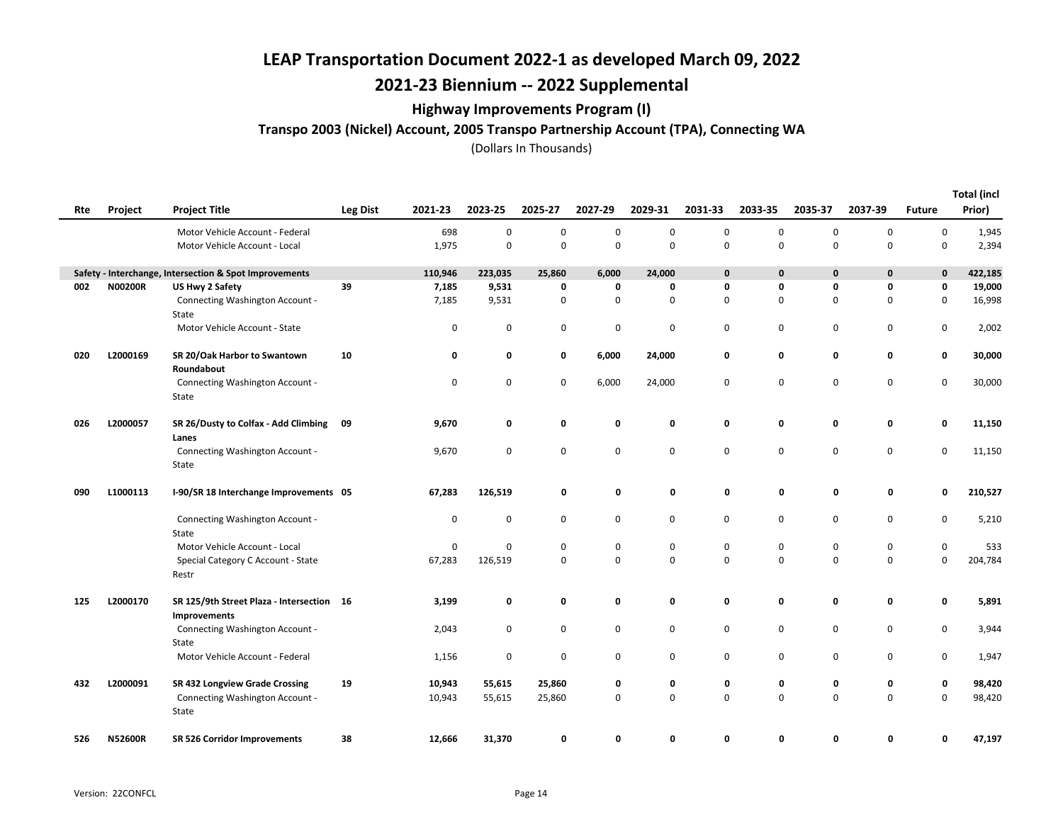## 2021-23 Biennium -- 2022 Supplemental

### Highway Improvements Program (I)

Transpo 2003 (Nickel) Account, 2005 Transpo Partnership Account (TPA), Connecting WA

|     |                |                                                           |                 |             |         |             |             |             |             |             |             |             |               | <b>Total (incl</b> |
|-----|----------------|-----------------------------------------------------------|-----------------|-------------|---------|-------------|-------------|-------------|-------------|-------------|-------------|-------------|---------------|--------------------|
| Rte | Project        | <b>Project Title</b>                                      | <b>Leg Dist</b> | 2021-23     | 2023-25 | 2025-27     | 2027-29     | 2029-31     | 2031-33     | 2033-35     | 2035-37     | 2037-39     | <b>Future</b> | Prior)             |
|     |                | Motor Vehicle Account - Federal                           |                 | 698         | 0       | 0           | $\mathbf 0$ | $\mathbf 0$ | 0           | 0           | 0           | $\mathbf 0$ | 0             | 1,945              |
|     |                | Motor Vehicle Account - Local                             |                 | 1,975       | 0       | 0           | $\mathsf 0$ | 0           | $\mathbf 0$ | 0           | 0           | $\mathbf 0$ | 0             | 2,394              |
|     |                | Safety - Interchange, Intersection & Spot Improvements    |                 | 110,946     | 223,035 | 25,860      | 6,000       | 24,000      | $\mathbf 0$ | $\mathbf 0$ | 0           | $\mathbf 0$ | 0             | 422,185            |
| 002 | N00200R        | US Hwy 2 Safety                                           | 39              | 7,185       | 9,531   | 0           | 0           | 0           | 0           | 0           | 0           | $\mathbf 0$ | 0             | 19,000             |
|     |                | Connecting Washington Account -<br>State                  |                 | 7,185       | 9,531   | 0           | $\mathbf 0$ | 0           | 0           | 0           | 0           | $\mathbf 0$ | 0             | 16,998             |
|     |                | Motor Vehicle Account - State                             |                 | 0           | 0       | 0           | $\mathbf 0$ | 0           | 0           | 0           | 0           | 0           | 0             | 2,002              |
| 020 | L2000169       | SR 20/Oak Harbor to Swantown<br>Roundabout                | 10              | 0           | 0       | 0           | 6,000       | 24,000      | 0           | 0           | 0           | $\mathbf 0$ | 0             | 30,000             |
|     |                | Connecting Washington Account -<br>State                  |                 | $\mathbf 0$ | 0       | 0           | 6,000       | 24,000      | $\mathbf 0$ | $\mathbf 0$ | $\mathbf 0$ | $\mathbf 0$ | 0             | 30,000             |
| 026 | L2000057       | SR 26/Dusty to Colfax - Add Climbing<br>Lanes             | 09              | 9,670       | 0       | 0           | 0           | 0           | 0           | 0           | 0           | $\mathbf 0$ | 0             | 11,150             |
|     |                | Connecting Washington Account -<br>State                  |                 | 9,670       | 0       | 0           | 0           | 0           | 0           | 0           | 0           | $\mathbf 0$ | 0             | 11,150             |
| 090 | L1000113       | I-90/SR 18 Interchange Improvements 05                    |                 | 67,283      | 126,519 | 0           | 0           | 0           | 0           | 0           | 0           | 0           | 0             | 210,527            |
|     |                | Connecting Washington Account -<br>State                  |                 | $\mathbf 0$ | 0       | 0           | 0           | $\mathsf 0$ | $\mathbf 0$ | 0           | 0           | $\mathbf 0$ | 0             | 5,210              |
|     |                | Motor Vehicle Account - Local                             |                 | 0           | 0       | 0           | 0           | 0           | 0           | 0           | 0           | 0           | 0             | 533                |
|     |                | Special Category C Account - State<br>Restr               |                 | 67,283      | 126,519 | 0           | 0           | 0           | $\mathbf 0$ | 0           | 0           | $\mathbf 0$ | 0             | 204,784            |
| 125 | L2000170       | SR 125/9th Street Plaza - Intersection 16<br>Improvements |                 | 3,199       | 0       | 0           | 0           | 0           | 0           | 0           | 0           | $\mathbf 0$ | 0             | 5,891              |
|     |                | Connecting Washington Account -<br>State                  |                 | 2,043       | 0       | $\mathbf 0$ | 0           | 0           | $\mathbf 0$ | 0           | 0           | 0           | 0             | 3,944              |
|     |                | Motor Vehicle Account - Federal                           |                 | 1,156       | 0       | 0           | 0           | 0           | $\mathbf 0$ | $\mathbf 0$ | $\mathbf 0$ | $\mathbf 0$ | 0             | 1,947              |
| 432 | L2000091       | SR 432 Longview Grade Crossing                            | 19              | 10,943      | 55,615  | 25,860      | 0           | 0           | 0           | 0           | 0           | 0           | 0             | 98,420             |
|     |                | Connecting Washington Account -<br>State                  |                 | 10,943      | 55,615  | 25,860      | 0           | $\mathbf 0$ | $\mathbf 0$ | $\mathbf 0$ | $\Omega$    | $\mathbf 0$ | 0             | 98,420             |
| 526 | <b>N52600R</b> | SR 526 Corridor Improvements                              | 38              | 12,666      | 31,370  | 0           | 0           | $\Omega$    | 0           | O           | 0           | $\Omega$    | O             | 47,197             |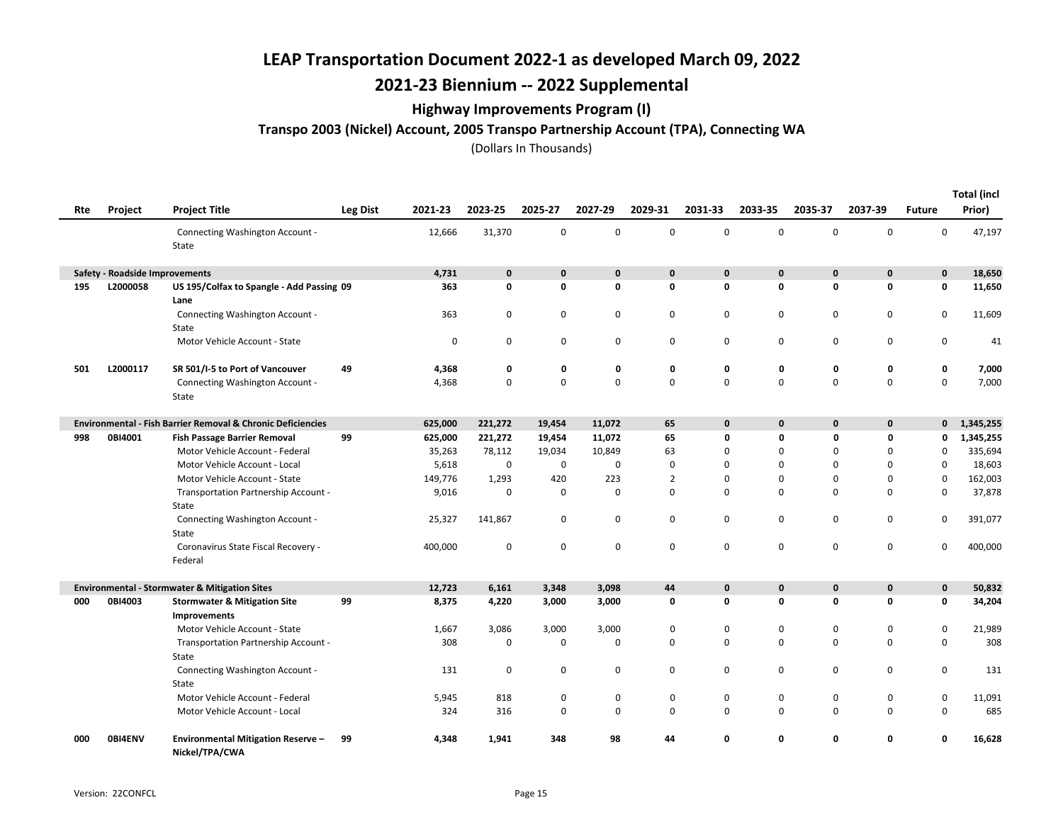## 2021-23 Biennium -- 2022 Supplemental

### Highway Improvements Program (I)

Transpo 2003 (Nickel) Account, 2005 Transpo Partnership Account (TPA), Connecting WA

|     |                                       |                                                                        |                 |         |             |              |             |                |              |              |              |             |               | <b>Total (incl</b> |
|-----|---------------------------------------|------------------------------------------------------------------------|-----------------|---------|-------------|--------------|-------------|----------------|--------------|--------------|--------------|-------------|---------------|--------------------|
| Rte | <b>Project</b>                        | <b>Project Title</b>                                                   | <b>Leg Dist</b> | 2021-23 | 2023-25     | 2025-27      | 2027-29     | 2029-31        | 2031-33      | 2033-35      | 2035-37      | 2037-39     | <b>Future</b> | Prior)             |
|     |                                       | Connecting Washington Account -<br>State                               |                 | 12,666  | 31,370      | 0            | $\mathsf 0$ | 0              | $\mathbf 0$  | $\mathbf 0$  | $\mathsf 0$  | $\mathbf 0$ | 0             | 47,197             |
|     | <b>Safety - Roadside Improvements</b> |                                                                        |                 | 4,731   | $\mathbf 0$ | $\mathbf{0}$ | $\mathbf 0$ | $\mathbf 0$    | $\mathbf{0}$ | $\mathbf{0}$ | $\mathbf 0$  | $\mathbf 0$ | $\mathbf 0$   | 18,650             |
| 195 | L2000058                              | US 195/Colfax to Spangle - Add Passing 09<br>Lane                      |                 | 363     | $\mathbf 0$ | 0            | $\mathbf 0$ | 0              | 0            | 0            | $\mathbf 0$  | $\Omega$    | 0             | 11,650             |
|     |                                       | Connecting Washington Account -<br>State                               |                 | 363     | $\mathbf 0$ | $\mathbf 0$  | 0           | 0              | $\mathbf 0$  | $\mathbf 0$  | 0            | $\mathbf 0$ | 0             | 11,609             |
|     |                                       | Motor Vehicle Account - State                                          |                 | 0       | $\mathbf 0$ | 0            | 0           | 0              | $\mathbf 0$  | 0            | 0            | 0           | 0             | 41                 |
| 501 | L2000117                              | SR 501/I-5 to Port of Vancouver                                        | 49              | 4,368   | 0           | 0            | 0           | 0              | 0            | 0            | 0            | 0           | 0             | 7,000              |
|     |                                       | Connecting Washington Account -<br>State                               |                 | 4,368   | 0           | $\Omega$     | $\mathbf 0$ | 0              | $\Omega$     | $\Omega$     | $\mathbf 0$  | $\mathbf 0$ | 0             | 7,000              |
|     |                                       | <b>Environmental - Fish Barrier Removal &amp; Chronic Deficiencies</b> |                 | 625,000 | 221,272     | 19,454       | 11,072      | 65             | $\mathbf{0}$ | $\mathbf{0}$ | $\mathbf 0$  | $\mathbf 0$ | $\mathbf{0}$  | 1,345,255          |
| 998 | 0BI4001                               | <b>Fish Passage Barrier Removal</b>                                    | 99              | 625,000 | 221,272     | 19,454       | 11,072      | 65             | 0            | $\mathbf 0$  | 0            | 0           | 0             | 1,345,255          |
|     |                                       | Motor Vehicle Account - Federal                                        |                 | 35,263  | 78,112      | 19,034       | 10,849      | 63             | 0            | $\Omega$     | $\mathbf 0$  | $\Omega$    | $\mathbf 0$   | 335,694            |
|     |                                       | Motor Vehicle Account - Local                                          |                 | 5,618   | 0           | 0            | $\mathbf 0$ | 0              | 0            | $\mathbf 0$  | 0            | 0           | 0             | 18,603             |
|     |                                       | Motor Vehicle Account - State                                          |                 | 149,776 | 1,293       | 420          | 223         | $\overline{2}$ | $\mathbf 0$  | 0            | 0            | 0           | 0             | 162,003            |
|     |                                       | Transportation Partnership Account -<br>State                          |                 | 9,016   | $\mathbf 0$ | 0            | 0           | $\mathbf 0$    | 0            | $\mathbf 0$  | $\mathbf 0$  | 0           | 0             | 37,878             |
|     |                                       | Connecting Washington Account -<br>State                               |                 | 25,327  | 141,867     | 0            | 0           | 0              | $\mathbf 0$  | $\mathbf 0$  | 0            | 0           | 0             | 391,077            |
|     |                                       | Coronavirus State Fiscal Recovery -<br>Federal                         |                 | 400,000 | $\mathbf 0$ | $\mathbf 0$  | $\mathsf 0$ | 0              | $\mathbf 0$  | $\mathbf 0$  | $\mathbf 0$  | $\mathbf 0$ | 0             | 400,000            |
|     |                                       | <b>Environmental - Stormwater &amp; Mitigation Sites</b>               |                 | 12,723  | 6,161       | 3,348        | 3,098       | 44             | $\mathbf{0}$ | $\mathbf{0}$ | $\mathbf{0}$ | $\mathbf 0$ | $\mathbf{0}$  | 50,832             |
| 000 | 0BI4003                               | <b>Stormwater &amp; Mitigation Site</b><br>Improvements                | 99              | 8,375   | 4,220       | 3,000        | 3,000       | 0              | 0            | 0            | 0            | 0           | 0             | 34,204             |
|     |                                       | Motor Vehicle Account - State                                          |                 | 1,667   | 3,086       | 3,000        | 3,000       | 0              | $\mathbf 0$  | 0            | 0            | 0           | 0             | 21,989             |
|     |                                       | Transportation Partnership Account -<br>State                          |                 | 308     | 0           | 0            | 0           | 0              | $\mathbf 0$  | $\mathbf 0$  | $\mathbf 0$  | 0           | 0             | 308                |
|     |                                       | Connecting Washington Account -<br>State                               |                 | 131     | 0           | 0            | $\mathbf 0$ | 0              | 0            | 0            | 0            | 0           | 0             | 131                |
|     |                                       | Motor Vehicle Account - Federal                                        |                 | 5,945   | 818         | $\mathbf 0$  | $\mathbf 0$ | 0              | $\mathbf 0$  | $\mathbf 0$  | 0            | 0           | 0             | 11,091             |
|     |                                       | Motor Vehicle Account - Local                                          |                 | 324     | 316         | 0            | $\mathbf 0$ | 0              | $\mathbf 0$  | $\mathbf 0$  | 0            | 0           | 0             | 685                |
| 000 | <b>OBI4ENV</b>                        | <b>Environmental Mitigation Reserve -</b><br>Nickel/TPA/CWA            | 99              | 4,348   | 1.941       | 348          | 98          | 44             | 0            | 0            | 0            | 0           | 0             | 16,628             |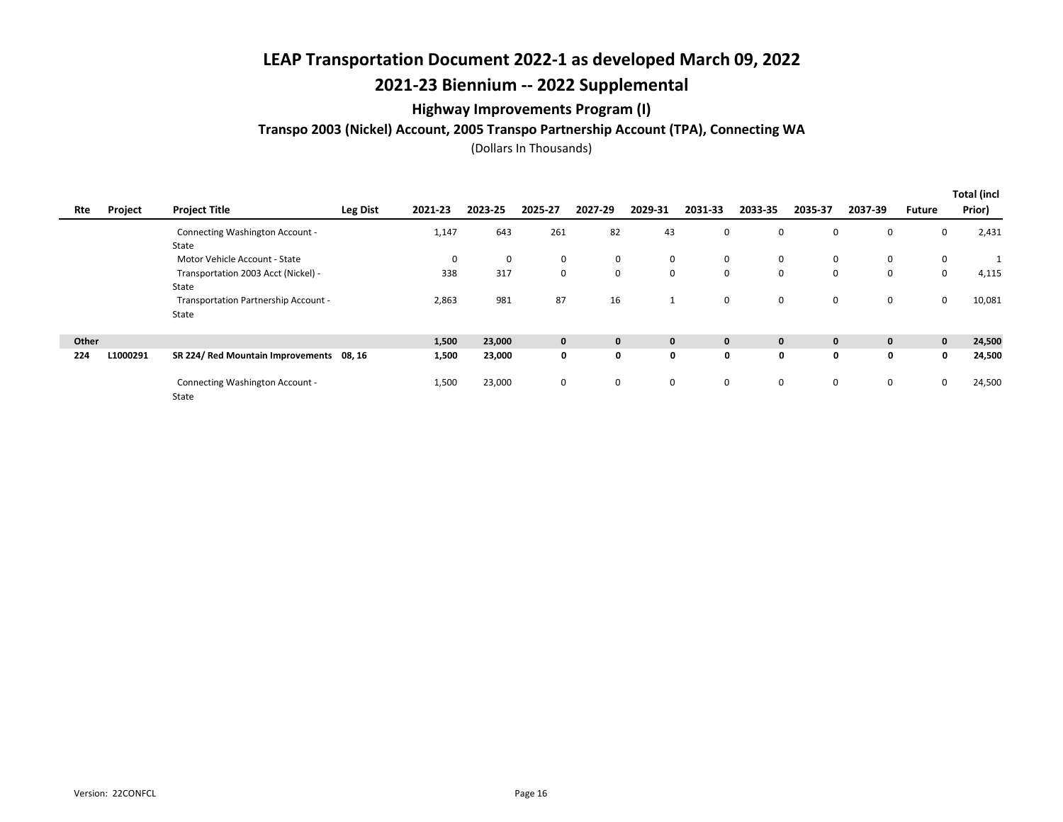## 2021-23 Biennium -- 2022 Supplemental

### Highway Improvements Program (I)

### Transpo 2003 (Nickel) Account, 2005 Transpo Partnership Account (TPA), Connecting WA

|       |          |                                          |                 |         |         |              |         |              |         |              |              |              |             | <b>Total (incl</b> |
|-------|----------|------------------------------------------|-----------------|---------|---------|--------------|---------|--------------|---------|--------------|--------------|--------------|-------------|--------------------|
| Rte   | Project  | <b>Project Title</b>                     | <b>Leg Dist</b> | 2021-23 | 2023-25 | 2025-27      | 2027-29 | 2029-31      | 2031-33 | 2033-35      | 2035-37      | 2037-39      | Future      | Prior)             |
|       |          | Connecting Washington Account -          |                 | 1,147   | 643     | 261          | 82      | 43           | 0       | 0            | 0            | 0            | 0           | 2,431              |
|       |          | State                                    |                 |         |         |              |         |              |         |              |              |              |             |                    |
|       |          | Motor Vehicle Account - State            |                 | 0       | 0       | 0            | 0       | 0            | 0       | 0            | 0            | 0            | $\mathbf 0$ |                    |
|       |          | Transportation 2003 Acct (Nickel) -      |                 | 338     | 317     | $\mathbf 0$  | 0       | 0            | 0       | 0            | 0            | 0            | 0           | 4,115              |
|       |          | State                                    |                 |         |         |              |         |              |         |              |              |              |             |                    |
|       |          | Transportation Partnership Account -     |                 | 2,863   | 981     | 87           | 16      | $\mathbf{1}$ | 0       | 0            | 0            | 0            | 0           | 10,081             |
|       |          | State                                    |                 |         |         |              |         |              |         |              |              |              |             |                    |
|       |          |                                          |                 |         |         |              |         |              |         |              |              |              |             |                    |
| Other |          |                                          |                 | 1,500   | 23,000  | $\mathbf{0}$ | 0       | $\mathbf 0$  | 0       | $\mathbf{0}$ | $\mathbf{0}$ | $\mathbf{0}$ | $\mathbf 0$ | 24,500             |
| 224   | L1000291 | SR 224/ Red Mountain Improvements 08, 16 |                 | 1,500   | 23,000  | 0            | 0       | 0            | 0       | 0            | 0            | 0            | 0           | 24,500             |
|       |          | Connecting Washington Account -          |                 | 1,500   | 23,000  | 0            | 0       | 0            | 0       | 0            | 0            | $\mathbf 0$  | $\mathbf 0$ | 24,500             |
|       |          | State                                    |                 |         |         |              |         |              |         |              |              |              |             |                    |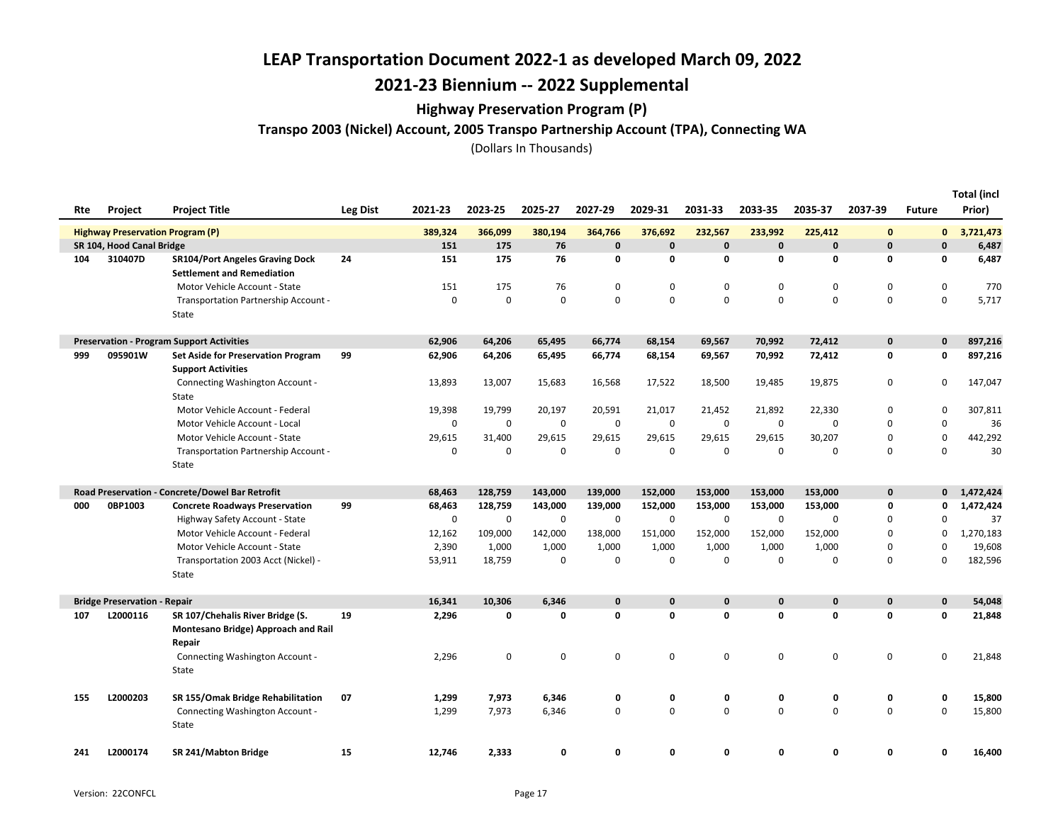## 2021-23 Biennium -- 2022 Supplemental

#### Highway Preservation Program (P)

Transpo 2003 (Nickel) Account, 2005 Transpo Partnership Account (TPA), Connecting WA

| Rte | Project                                 | <b>Project Title</b>                                                              | <b>Leg Dist</b> | 2021-23     | 2023-25 | 2025-27     | 2027-29     | 2029-31     | 2031-33      | 2033-35      | 2035-37     | 2037-39      | <b>Future</b> | <b>Total (incl</b><br>Prior) |
|-----|-----------------------------------------|-----------------------------------------------------------------------------------|-----------------|-------------|---------|-------------|-------------|-------------|--------------|--------------|-------------|--------------|---------------|------------------------------|
|     | <b>Highway Preservation Program (P)</b> |                                                                                   |                 | 389,324     | 366,099 | 380,194     | 364,766     | 376,692     | 232,567      | 233,992      | 225,412     | $\mathbf{0}$ | 0             | 3,721,473                    |
|     | SR 104, Hood Canal Bridge               |                                                                                   |                 | 151         | 175     | 76          | $\pmb{0}$   | $\mathbf 0$ | $\mathbf{0}$ | $\mathbf{0}$ | $\mathbf 0$ | $\mathbf 0$  | $\mathbf{0}$  | 6,487                        |
| 104 | 310407D                                 | <b>SR104/Port Angeles Graving Dock</b><br><b>Settlement and Remediation</b>       | 24              | 151         | 175     | 76          | 0           | $\mathbf 0$ | 0            | 0            | 0           | 0            | 0             | 6,487                        |
|     |                                         | Motor Vehicle Account - State                                                     |                 | 151         | 175     | 76          | $\mathbf 0$ | 0           | 0            | $\Omega$     | $\mathbf 0$ | 0            | 0             | 770                          |
|     |                                         | Transportation Partnership Account -<br>State                                     |                 | $\mathbf 0$ | 0       | $\Omega$    | $\mathbf 0$ | $\mathbf 0$ | $\Omega$     | $\Omega$     | $\Omega$    | $\mathbf 0$  | 0             | 5,717                        |
|     |                                         | <b>Preservation - Program Support Activities</b>                                  |                 | 62,906      | 64,206  | 65,495      | 66,774      | 68,154      | 69,567       | 70,992       | 72,412      | $\mathbf 0$  | 0             | 897,216                      |
| 999 | 095901W                                 | <b>Set Aside for Preservation Program</b><br><b>Support Activities</b>            | 99              | 62,906      | 64,206  | 65,495      | 66,774      | 68,154      | 69,567       | 70,992       | 72,412      | 0            | 0             | 897,216                      |
|     |                                         | Connecting Washington Account -<br>State                                          |                 | 13,893      | 13,007  | 15,683      | 16,568      | 17,522      | 18,500       | 19,485       | 19,875      | 0            | 0             | 147,047                      |
|     |                                         | Motor Vehicle Account - Federal                                                   |                 | 19,398      | 19,799  | 20,197      | 20,591      | 21,017      | 21,452       | 21,892       | 22,330      | 0            | $\mathbf 0$   | 307,811                      |
|     |                                         | Motor Vehicle Account - Local                                                     |                 | 0           | 0       | 0           | 0           | 0           | 0            | 0            | 0           | 0            | 0             | 36                           |
|     |                                         | Motor Vehicle Account - State                                                     |                 | 29,615      | 31,400  | 29,615      | 29,615      | 29,615      | 29,615       | 29,615       | 30,207      | $\mathbf 0$  | $\pmb{0}$     | 442,292                      |
|     |                                         | Transportation Partnership Account -<br>State                                     |                 | $\mathbf 0$ | 0       | $\mathbf 0$ | $\mathbf 0$ | $\mathsf 0$ | $\mathbf 0$  | 0            | 0           | $\mathbf 0$  | 0             | 30                           |
|     |                                         | Road Preservation - Concrete/Dowel Bar Retrofit                                   |                 | 68,463      | 128,759 | 143,000     | 139,000     | 152,000     | 153,000      | 153,000      | 153,000     | 0            | $\mathbf{0}$  | 1,472,424                    |
| 000 | 0BP1003                                 | <b>Concrete Roadways Preservation</b>                                             | 99              | 68,463      | 128,759 | 143,000     | 139,000     | 152,000     | 153,000      | 153,000      | 153,000     | 0            | 0             | 1,472,424                    |
|     |                                         | Highway Safety Account - State                                                    |                 | $\mathsf 0$ | 0       | 0           | $\mathbf 0$ | $\mathbf 0$ | $\mathbf 0$  | 0            | $\mathbf 0$ | 0            | 0             | 37                           |
|     |                                         | Motor Vehicle Account - Federal                                                   |                 | 12,162      | 109,000 | 142,000     | 138,000     | 151,000     | 152,000      | 152,000      | 152,000     | 0            | 0             | 1,270,183                    |
|     |                                         | Motor Vehicle Account - State                                                     |                 | 2,390       | 1,000   | 1,000       | 1,000       | 1,000       | 1,000        | 1,000        | 1,000       | 0            | 0             | 19,608                       |
|     |                                         | Transportation 2003 Acct (Nickel) -<br>State                                      |                 | 53,911      | 18,759  | $\mathbf 0$ | $\mathbf 0$ | 0           | $\mathbf 0$  | $\mathbf 0$  | $\mathbf 0$ | $\mathbf 0$  | 0             | 182,596                      |
|     | <b>Bridge Preservation - Repair</b>     |                                                                                   |                 | 16,341      | 10,306  | 6,346       | $\mathbf 0$ | $\mathbf 0$ | $\mathbf{0}$ | $\mathbf{0}$ | $\mathbf 0$ | $\mathbf{0}$ | 0             | 54,048                       |
| 107 | L2000116                                | SR 107/Chehalis River Bridge (S.<br>Montesano Bridge) Approach and Rail<br>Repair | 19              | 2,296       | 0       | 0           | 0           | $\mathbf 0$ | 0            | 0            | $\mathbf 0$ | $\mathbf 0$  | 0             | 21,848                       |
|     |                                         | Connecting Washington Account -<br>State                                          |                 | 2,296       | 0       | 0           | 0           | 0           | 0            | 0            | $\mathbf 0$ | 0            | 0             | 21,848                       |
| 155 | L2000203                                | SR 155/Omak Bridge Rehabilitation                                                 | 07              | 1,299       | 7,973   | 6,346       | 0           | 0           | 0            | 0            | 0           | 0            | 0             | 15,800                       |
|     |                                         | Connecting Washington Account -                                                   |                 | 1,299       | 7,973   | 6,346       | $\mathbf 0$ | 0           | 0            | 0            | $\mathbf 0$ | $\mathsf 0$  | 0             | 15,800                       |
|     |                                         | State                                                                             |                 |             |         |             |             |             |              |              |             |              |               |                              |
| 241 | L2000174                                | SR 241/Mabton Bridge                                                              | 15              | 12,746      | 2,333   | 0           | 0           | 0           | 0            | 0            | 0           | 0            | 0             | 16,400                       |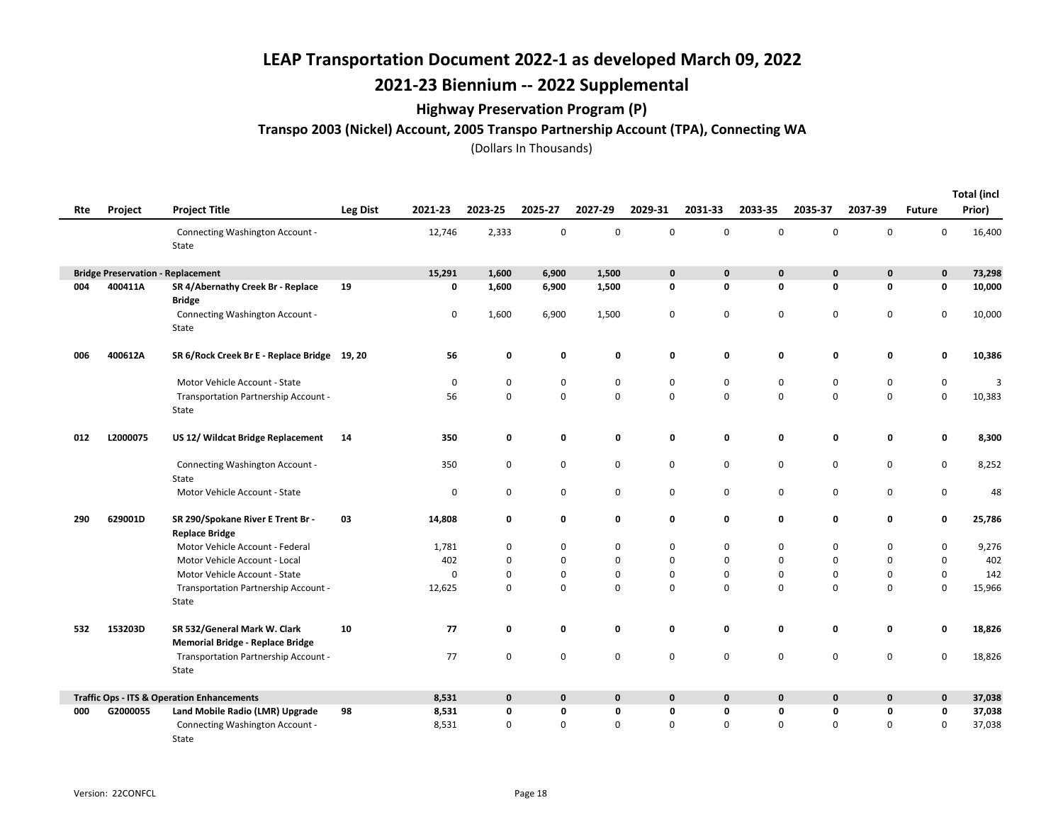## 2021-23 Biennium -- 2022 Supplemental

### Highway Preservation Program (P)

### Transpo 2003 (Nickel) Account, 2005 Transpo Partnership Account (TPA), Connecting WA

|     |                              |                                                                         |                 |             |             |             |             |             |             |              |             |             |               | <b>Total (incl</b> |
|-----|------------------------------|-------------------------------------------------------------------------|-----------------|-------------|-------------|-------------|-------------|-------------|-------------|--------------|-------------|-------------|---------------|--------------------|
| Rte | Project                      | <b>Project Title</b>                                                    | <b>Leg Dist</b> | 2021-23     | 2023-25     | 2025-27     | 2027-29     | 2029-31     | 2031-33     | 2033-35      | 2035-37     | 2037-39     | <b>Future</b> | Prior)             |
|     |                              | Connecting Washington Account -<br>State                                |                 | 12,746      | 2,333       | $\mathbf 0$ | 0           | 0           | 0           | $\Omega$     | $\mathbf 0$ | $\Omega$    | $\Omega$      | 16,400             |
|     | <b>Bridge Preservation -</b> | Replacement                                                             |                 | 15,291      | 1,600       | 6,900       | 1,500       | 0           | 0           | $\mathbf 0$  | 0           | $\mathbf 0$ | $\mathbf 0$   | 73,298             |
| 004 | 400411A                      | SR 4/Abernathy Creek Br - Replace<br><b>Bridge</b>                      | 19              | 0           | 1,600       | 6,900       | 1,500       | 0           | 0           | $\mathbf 0$  | 0           | 0           | $\mathbf 0$   | 10,000             |
|     |                              | Connecting Washington Account -<br>State                                |                 | $\mathbf 0$ | 1,600       | 6,900       | 1,500       | 0           | 0           | 0            | $\mathbf 0$ | $\mathbf 0$ | $\mathbf 0$   | 10,000             |
| 006 | 400612A                      | SR 6/Rock Creek Br E - Replace Bridge 19, 20                            |                 | 56          | 0           | 0           | 0           | 0           | 0           | 0            | 0           | 0           | 0             | 10,386             |
|     |                              | Motor Vehicle Account - State                                           |                 | 0           | $\mathbf 0$ | $\mathbf 0$ | 0           | 0           | 0           | 0            | 0           | 0           | 0             | 3                  |
|     |                              | Transportation Partnership Account -<br>State                           |                 | 56          | $\mathbf 0$ | $\mathbf 0$ | 0           | 0           | 0           | 0            | $\mathsf 0$ | $\pmb{0}$   | $\pmb{0}$     | 10,383             |
| 012 | L2000075                     | US 12/ Wildcat Bridge Replacement                                       | 14              | 350         | 0           | 0           | 0           | 0           | 0           | 0            | 0           | $\mathbf 0$ | 0             | 8,300              |
|     |                              | Connecting Washington Account -<br>State                                |                 | 350         | 0           | $\mathbf 0$ | 0           | 0           | 0           | 0            | 0           | 0           | 0             | 8,252              |
|     |                              | Motor Vehicle Account - State                                           |                 | $\mathbf 0$ | 0           | $\mathbf 0$ | 0           | 0           | 0           | 0            | 0           | 0           | $\mathsf 0$   | 48                 |
| 290 | 629001D                      | SR 290/Spokane River E Trent Br -<br><b>Replace Bridge</b>              | 03              | 14,808      | 0           | 0           | 0           | 0           | 0           | 0            | 0           | 0           | 0             | 25,786             |
|     |                              | Motor Vehicle Account - Federal                                         |                 | 1,781       | 0           | 0           | 0           | 0           | 0           | 0            | 0           | 0           | 0             | 9,276              |
|     |                              | Motor Vehicle Account - Local                                           |                 | 402         | 0           | $\mathbf 0$ | 0           | 0           | 0           | $\Omega$     | 0           | 0           | 0             | 402                |
|     |                              | Motor Vehicle Account - State                                           |                 | 0           | $\mathbf 0$ | $\mathbf 0$ | 0           | 0           | 0           | 0            | 0           | $\mathbf 0$ | $\mathsf 0$   | 142                |
|     |                              | Transportation Partnership Account -<br>State                           |                 | 12,625      | $\Omega$    | $\mathbf 0$ | 0           | 0           | 0           | $\mathbf 0$  | $\mathbf 0$ | $\Omega$    | $\mathbf 0$   | 15,966             |
| 532 | 153203D                      | SR 532/General Mark W. Clark<br><b>Memorial Bridge - Replace Bridge</b> | 10              | 77          | 0           | $\mathbf 0$ | 0           | 0           | 0           | 0            | 0           | 0           | 0             | 18,826             |
|     |                              | Transportation Partnership Account -<br>State                           |                 | 77          | 0           | 0           | 0           | 0           | 0           | 0            | $\mathbf 0$ | $\mathbf 0$ | 0             | 18,826             |
|     |                              | <b>Traffic Ops - ITS &amp; Operation Enhancements</b>                   |                 | 8,531       | $\mathbf 0$ | $\mathbf 0$ | $\mathbf 0$ | $\mathbf 0$ | $\mathbf 0$ | $\mathbf{0}$ | $\mathbf 0$ | $\mathbf 0$ | $\mathbf 0$   | 37,038             |
| 000 | G2000055                     | Land Mobile Radio (LMR) Upgrade                                         | 98              | 8,531       | 0           | 0           | 0           | 0           | 0           | 0            | 0           | 0           | 0             | 37,038             |
|     |                              | Connecting Washington Account -<br>State                                |                 | 8,531       | 0           | 0           | 0           | 0           | 0           | $\Omega$     | $\Omega$    | 0           | 0             | 37,038             |